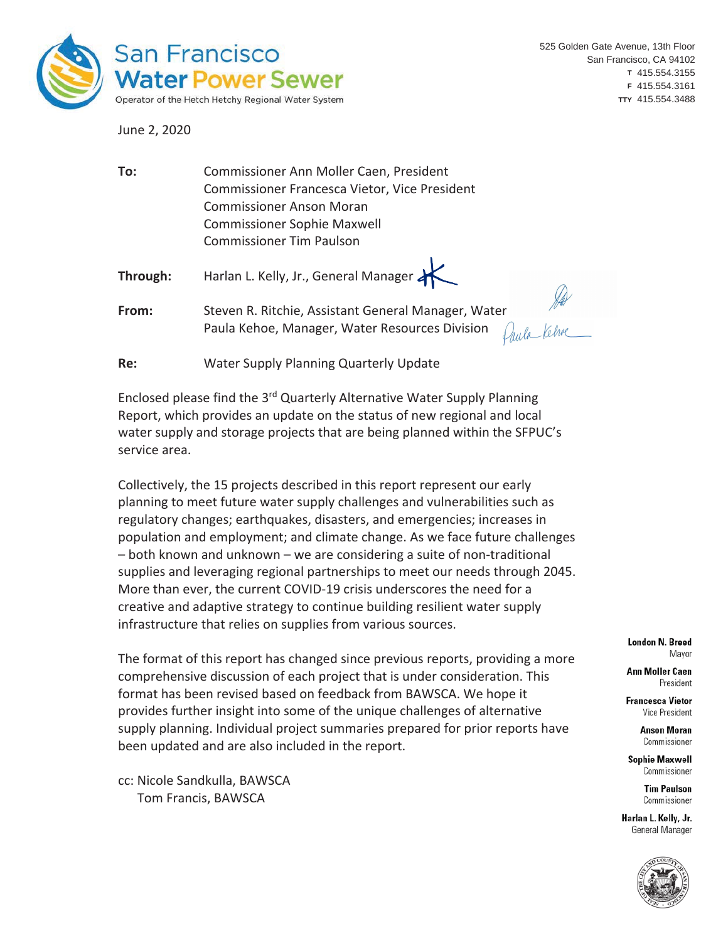

525 Golden Gate Avenue, 13th Floor San Francisco, CA 94102 **T** 415.554.3155 **F** 415.554.3161 **TTY** 415.554.3488

June 2, 2020

**To:** Commissioner Ann Moller Caen, President Commissioner Francesca Vietor, Vice President Commissioner Anson Moran Commissioner Sophie Maxwell Commissioner Tim Paulson

**Through:** Harlan L. Kelly, Jr., General Manager

**From:** Steven R. Ritchie, Assistant General Manager, Water<br>Paula Kehoe, Manager, Water Resources Division Andra Value Paula Kehoe, Manager, Water Resources Division

**Re:** Water Supply Planning Quarterly Update

Enclosed please find the 3rd Quarterly Alternative Water Supply Planning Report, which provides an update on the status of new regional and local water supply and storage projects that are being planned within the SFPUC's service area.

Collectively, the 15 projects described in this report represent our early planning to meet future water supply challenges and vulnerabilities such as regulatory changes; earthquakes, disasters, and emergencies; increases in population and employment; and climate change. As we face future challenges – both known and unknown – we are considering a suite of non-traditional supplies and leveraging regional partnerships to meet our needs through 2045. More than ever, the current COVID-19 crisis underscores the need for a creative and adaptive strategy to continue building resilient water supply infrastructure that relies on supplies from various sources.

The format of this report has changed since previous reports, providing a more comprehensive discussion of each project that is under consideration. This format has been revised based on feedback from BAWSCA. We hope it provides further insight into some of the unique challenges of alternative supply planning. Individual project summaries prepared for prior reports have been updated and are also included in the report.

cc: Nicole Sandkulla, BAWSCA Tom Francis, BAWSCA

**London N. Breed** Mayor

**Ann Moller Caen** President

**Francesca Vietor** Vice President

> **Anson Moran** Commissioner

**Sophie Maxwell** Commissioner

> **Tim Paulson** Commissioner

Harlan L. Kelly, Jr. General Manager

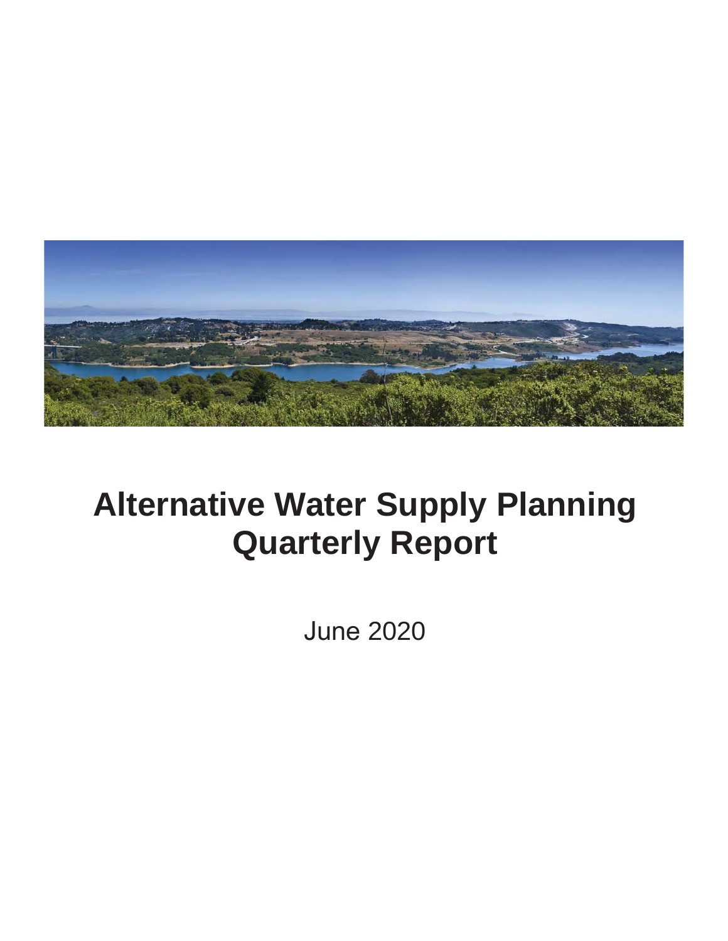

# **Alternative Water Supply Planning Quarterly Report**

June 2020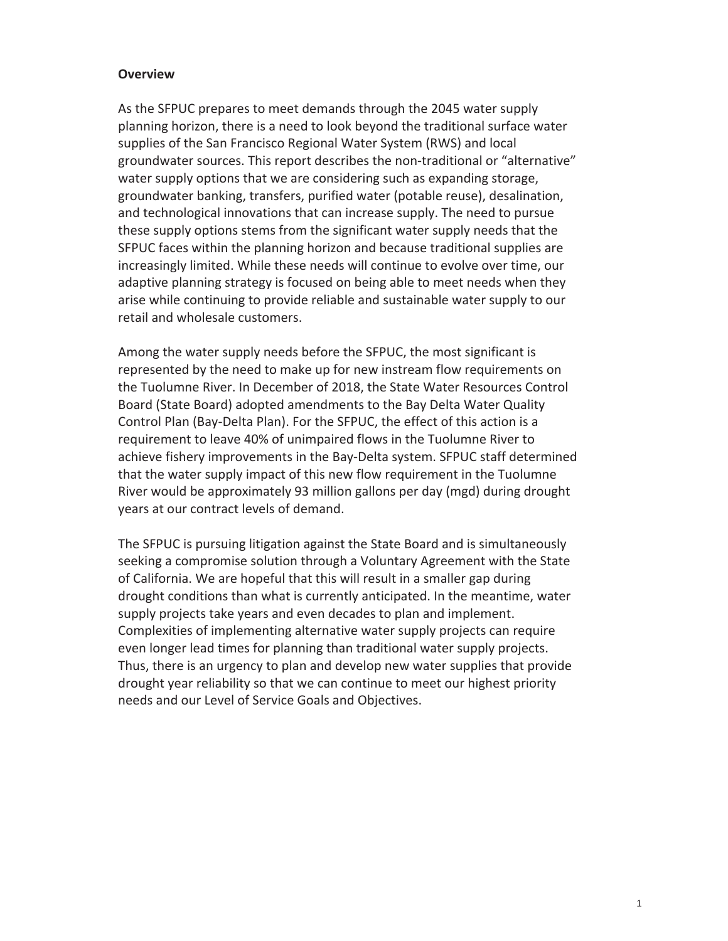# **Overview**

As the SFPUC prepares to meet demands through the 2045 water supply planning horizon, there is a need to look beyond the traditional surface water supplies of the San Francisco Regional Water System (RWS) and local groundwater sources. This report describes the non-traditional or "alternative" water supply options that we are considering such as expanding storage, groundwater banking, transfers, purified water (potable reuse), desalination, and technological innovations that can increase supply. The need to pursue these supply options stems from the significant water supply needs that the SFPUC faces within the planning horizon and because traditional supplies are increasingly limited. While these needs will continue to evolve over time, our adaptive planning strategy is focused on being able to meet needs when they arise while continuing to provide reliable and sustainable water supply to our retail and wholesale customers.

Among the water supply needs before the SFPUC, the most significant is represented by the need to make up for new instream flow requirements on the Tuolumne River. In December of 2018, the State Water Resources Control Board (State Board) adopted amendments to the Bay Delta Water Quality Control Plan (Bay-Delta Plan). For the SFPUC, the effect of this action is a requirement to leave 40% of unimpaired flows in the Tuolumne River to achieve fishery improvements in the Bay-Delta system. SFPUC staff determined that the water supply impact of this new flow requirement in the Tuolumne River would be approximately 93 million gallons per day (mgd) during drought years at our contract levels of demand.

The SFPUC is pursuing litigation against the State Board and is simultaneously seeking a compromise solution through a Voluntary Agreement with the State of California. We are hopeful that this will result in a smaller gap during drought conditions than what is currently anticipated. In the meantime, water supply projects take years and even decades to plan and implement. Complexities of implementing alternative water supply projects can require even longer lead times for planning than traditional water supply projects. Thus, there is an urgency to plan and develop new water supplies that provide drought year reliability so that we can continue to meet our highest priority needs and our Level of Service Goals and Objectives.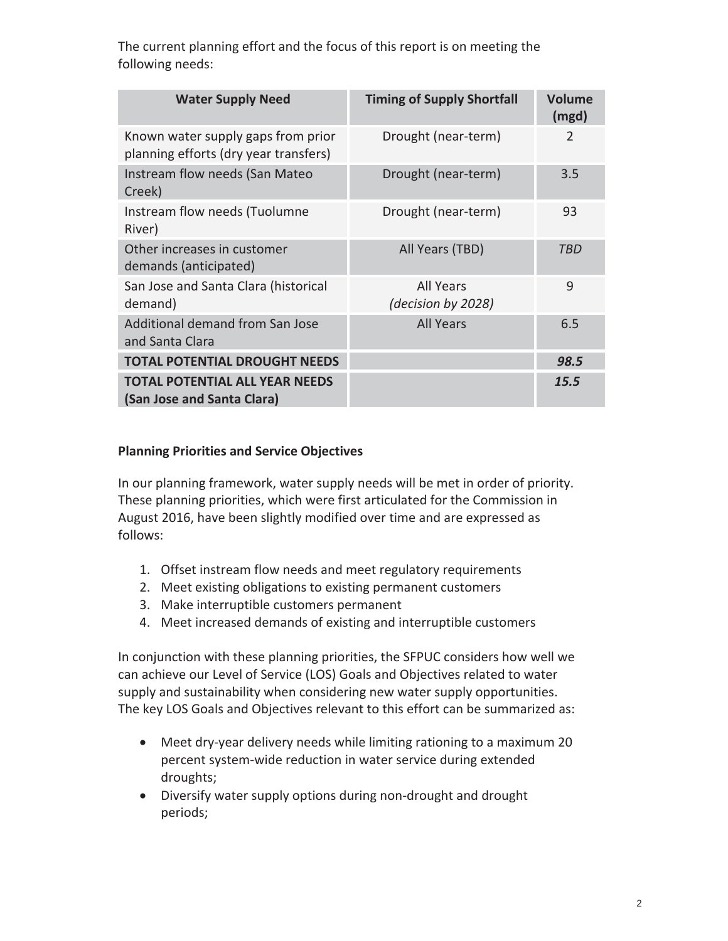The current planning effort and the focus of this report is on meeting the following needs:

| <b>Water Supply Need</b>                                                    | <b>Timing of Supply Shortfall</b>      | <b>Volume</b><br>(mgd) |
|-----------------------------------------------------------------------------|----------------------------------------|------------------------|
| Known water supply gaps from prior<br>planning efforts (dry year transfers) | Drought (near-term)                    | 2                      |
| Instream flow needs (San Mateo<br>Creek)                                    | Drought (near-term)                    | 3.5                    |
| Instream flow needs (Tuolumne<br>River)                                     | Drought (near-term)                    | 93                     |
| Other increases in customer<br>demands (anticipated)                        | All Years (TBD)                        | TBD                    |
| San Jose and Santa Clara (historical<br>demand)                             | <b>All Years</b><br>(decision by 2028) | 9                      |
| Additional demand from San Jose<br>and Santa Clara                          | <b>All Years</b>                       | 6.5                    |
| <b>TOTAL POTENTIAL DROUGHT NEEDS</b>                                        |                                        | 98.5                   |
| <b>TOTAL POTENTIAL ALL YEAR NEEDS</b><br>(San Jose and Santa Clara)         |                                        | 15.5                   |

# **Planning Priorities and Service Objectives**

In our planning framework, water supply needs will be met in order of priority. These planning priorities, which were first articulated for the Commission in August 2016, have been slightly modified over time and are expressed as follows:

- 1. Offset instream flow needs and meet regulatory requirements
- 2. Meet existing obligations to existing permanent customers
- 3. Make interruptible customers permanent
- 4. Meet increased demands of existing and interruptible customers

In conjunction with these planning priorities, the SFPUC considers how well we can achieve our Level of Service (LOS) Goals and Objectives related to water supply and sustainability when considering new water supply opportunities. The key LOS Goals and Objectives relevant to this effort can be summarized as:

- Meet dry-year delivery needs while limiting rationing to a maximum 20 percent system-wide reduction in water service during extended droughts;
- Diversify water supply options during non-drought and drought periods;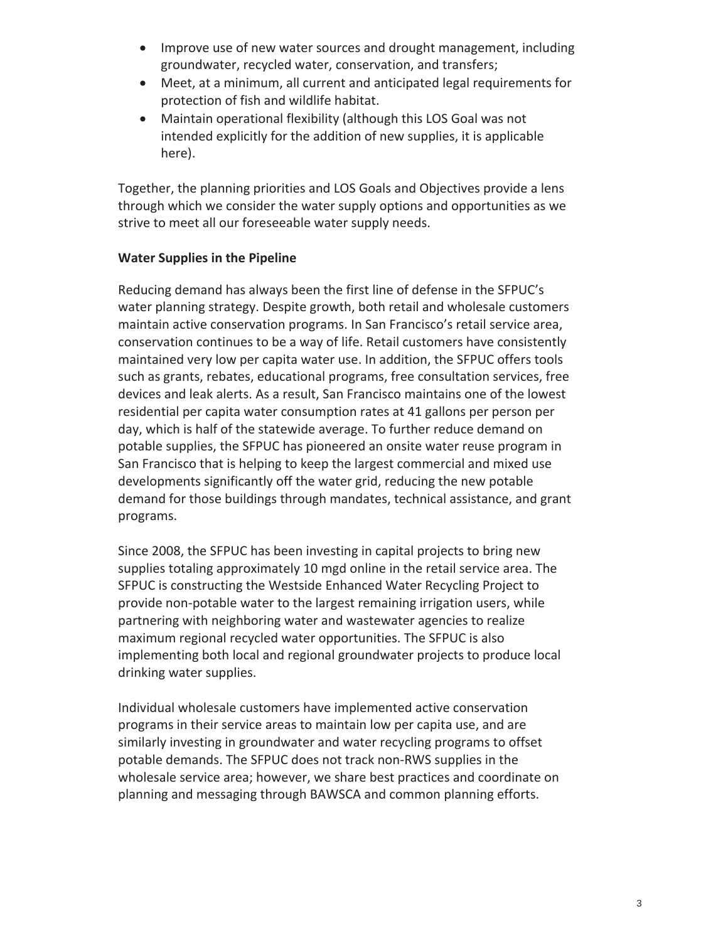- Improve use of new water sources and drought management, including groundwater, recycled water, conservation, and transfers;
- Meet, at a minimum, all current and anticipated legal requirements for protection of fish and wildlife habitat.
- Maintain operational flexibility (although this LOS Goal was not intended explicitly for the addition of new supplies, it is applicable here).

Together, the planning priorities and LOS Goals and Objectives provide a lens through which we consider the water supply options and opportunities as we strive to meet all our foreseeable water supply needs.

# **Water Supplies in the Pipeline**

Reducing demand has always been the first line of defense in the SFPUC's water planning strategy. Despite growth, both retail and wholesale customers maintain active conservation programs. In San Francisco's retail service area, conservation continues to be a way of life. Retail customers have consistently maintained very low per capita water use. In addition, the SFPUC offers tools such as grants, rebates, educational programs, free consultation services, free devices and leak alerts. As a result, San Francisco maintains one of the lowest residential per capita water consumption rates at 41 gallons per person per day, which is half of the statewide average. To further reduce demand on potable supplies, the SFPUC has pioneered an onsite water reuse program in San Francisco that is helping to keep the largest commercial and mixed use developments significantly off the water grid, reducing the new potable demand for those buildings through mandates, technical assistance, and grant programs.

Since 2008, the SFPUC has been investing in capital projects to bring new supplies totaling approximately 10 mgd online in the retail service area. The SFPUC is constructing the Westside Enhanced Water Recycling Project to provide non-potable water to the largest remaining irrigation users, while partnering with neighboring water and wastewater agencies to realize maximum regional recycled water opportunities. The SFPUC is also implementing both local and regional groundwater projects to produce local drinking water supplies.

Individual wholesale customers have implemented active conservation programs in their service areas to maintain low per capita use, and are similarly investing in groundwater and water recycling programs to offset potable demands. The SFPUC does not track non-RWS supplies in the wholesale service area; however, we share best practices and coordinate on planning and messaging through BAWSCA and common planning efforts.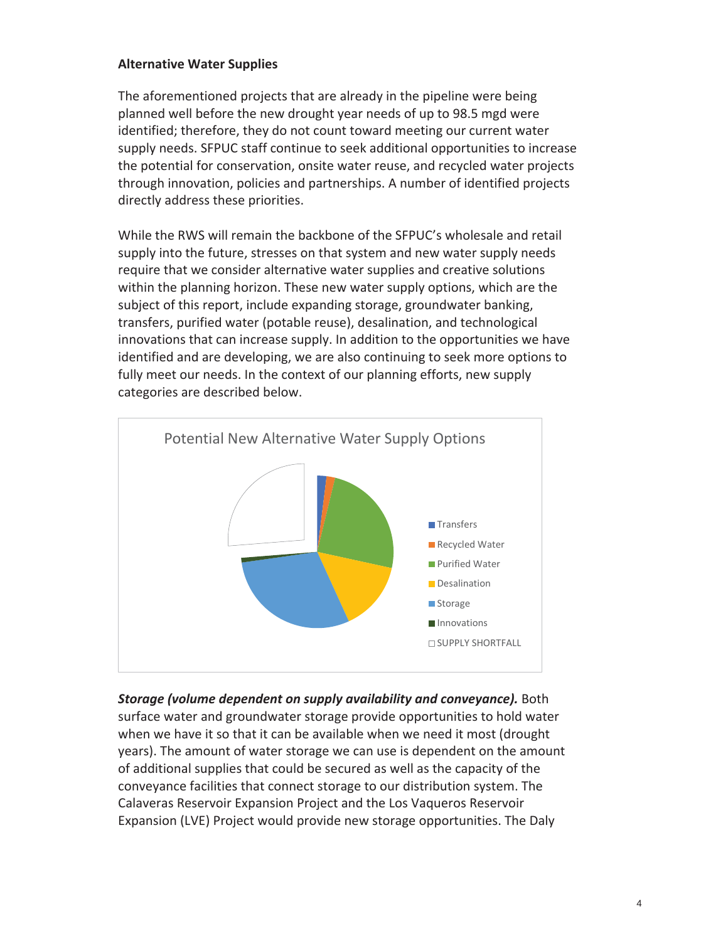# **Alternative Water Supplies**

The aforementioned projects that are already in the pipeline were being planned well before the new drought year needs of up to 98.5 mgd were identified; therefore, they do not count toward meeting our current water supply needs. SFPUC staff continue to seek additional opportunities to increase the potential for conservation, onsite water reuse, and recycled water projects through innovation, policies and partnerships. A number of identified projects directly address these priorities.

While the RWS will remain the backbone of the SFPUC's wholesale and retail supply into the future, stresses on that system and new water supply needs require that we consider alternative water supplies and creative solutions within the planning horizon. These new water supply options, which are the subject of this report, include expanding storage, groundwater banking, transfers, purified water (potable reuse), desalination, and technological innovations that can increase supply. In addition to the opportunities we have identified and are developing, we are also continuing to seek more options to fully meet our needs. In the context of our planning efforts, new supply categories are described below.



**Storage (volume dependent on supply availability and conveyance).** Both surface water and groundwater storage provide opportunities to hold water when we have it so that it can be available when we need it most (drought years). The amount of water storage we can use is dependent on the amount of additional supplies that could be secured as well as the capacity of the conveyance facilities that connect storage to our distribution system. The Calaveras Reservoir Expansion Project and the Los Vaqueros Reservoir Expansion (LVE) Project would provide new storage opportunities. The Daly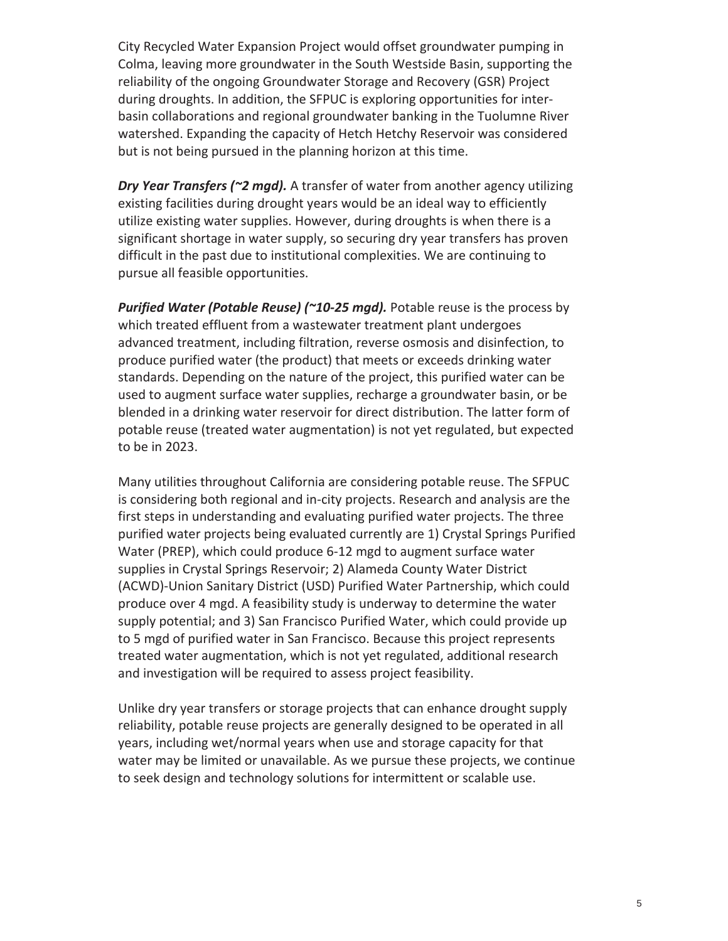City Recycled Water Expansion Project would offset groundwater pumping in Colma, leaving more groundwater in the South Westside Basin, supporting the reliability of the ongoing Groundwater Storage and Recovery (GSR) Project during droughts. In addition, the SFPUC is exploring opportunities for interbasin collaborations and regional groundwater banking in the Tuolumne River watershed. Expanding the capacity of Hetch Hetchy Reservoir was considered but is not being pursued in the planning horizon at this time.

*Dry Year Transfers (~2 mgd).* A transfer of water from another agency utilizing existing facilities during drought years would be an ideal way to efficiently utilize existing water supplies. However, during droughts is when there is a significant shortage in water supply, so securing dry year transfers has proven difficult in the past due to institutional complexities. We are continuing to pursue all feasible opportunities.

**Purified Water (Potable Reuse) (~10-25 mgd).** Potable reuse is the process by which treated effluent from a wastewater treatment plant undergoes advanced treatment, including filtration, reverse osmosis and disinfection, to produce purified water (the product) that meets or exceeds drinking water standards. Depending on the nature of the project, this purified water can be used to augment surface water supplies, recharge a groundwater basin, or be blended in a drinking water reservoir for direct distribution. The latter form of potable reuse (treated water augmentation) is not yet regulated, but expected to be in 2023.

Many utilities throughout California are considering potable reuse. The SFPUC is considering both regional and in-city projects. Research and analysis are the first steps in understanding and evaluating purified water projects. The three purified water projects being evaluated currently are 1) Crystal Springs Purified Water (PREP), which could produce 6-12 mgd to augment surface water supplies in Crystal Springs Reservoir; 2) Alameda County Water District (ACWD)-Union Sanitary District (USD) Purified Water Partnership, which could produce over 4 mgd. A feasibility study is underway to determine the water supply potential; and 3) San Francisco Purified Water, which could provide up to 5 mgd of purified water in San Francisco. Because this project represents treated water augmentation, which is not yet regulated, additional research and investigation will be required to assess project feasibility.

Unlike dry year transfers or storage projects that can enhance drought supply reliability, potable reuse projects are generally designed to be operated in all years, including wet/normal years when use and storage capacity for that water may be limited or unavailable. As we pursue these projects, we continue to seek design and technology solutions for intermittent or scalable use.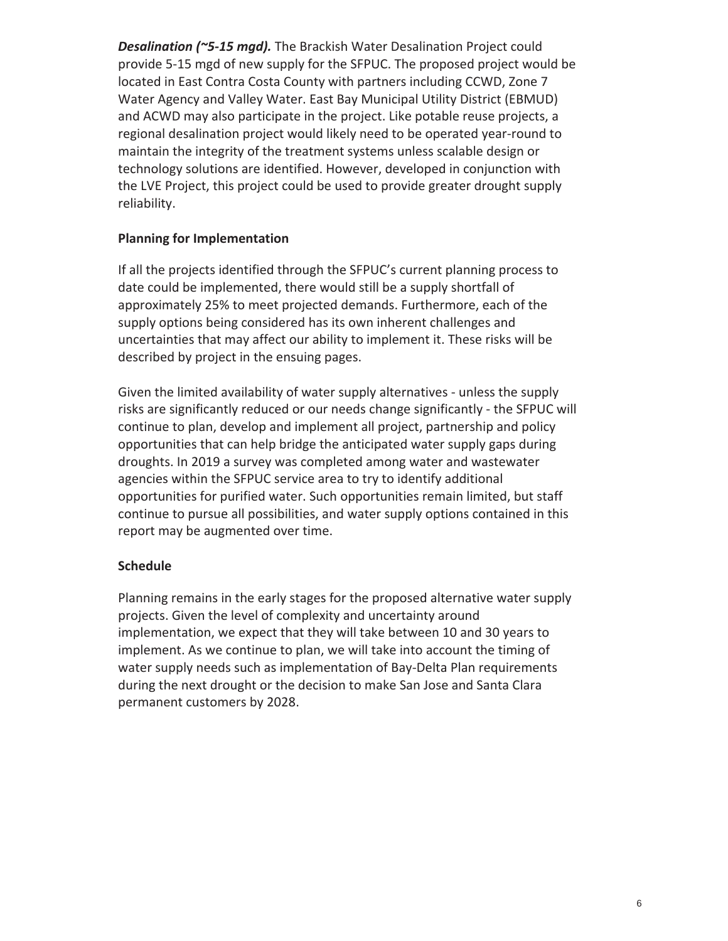*Desalination (~5-15 mgd).* The Brackish Water Desalination Project could provide 5-15 mgd of new supply for the SFPUC. The proposed project would be located in East Contra Costa County with partners including CCWD, Zone 7 Water Agency and Valley Water. East Bay Municipal Utility District (EBMUD) and ACWD may also participate in the project. Like potable reuse projects, a regional desalination project would likely need to be operated year-round to maintain the integrity of the treatment systems unless scalable design or technology solutions are identified. However, developed in conjunction with the LVE Project, this project could be used to provide greater drought supply reliability.

# **Planning for Implementation**

If all the projects identified through the SFPUC's current planning process to date could be implemented, there would still be a supply shortfall of approximately 25% to meet projected demands. Furthermore, each of the supply options being considered has its own inherent challenges and uncertainties that may affect our ability to implement it. These risks will be described by project in the ensuing pages.

Given the limited availability of water supply alternatives - unless the supply risks are significantly reduced or our needs change significantly - the SFPUC will continue to plan, develop and implement all project, partnership and policy opportunities that can help bridge the anticipated water supply gaps during droughts. In 2019 a survey was completed among water and wastewater agencies within the SFPUC service area to try to identify additional opportunities for purified water. Such opportunities remain limited, but staff continue to pursue all possibilities, and water supply options contained in this report may be augmented over time.

# **Schedule**

Planning remains in the early stages for the proposed alternative water supply projects. Given the level of complexity and uncertainty around implementation, we expect that they will take between 10 and 30 years to implement. As we continue to plan, we will take into account the timing of water supply needs such as implementation of Bay-Delta Plan requirements during the next drought or the decision to make San Jose and Santa Clara permanent customers by 2028.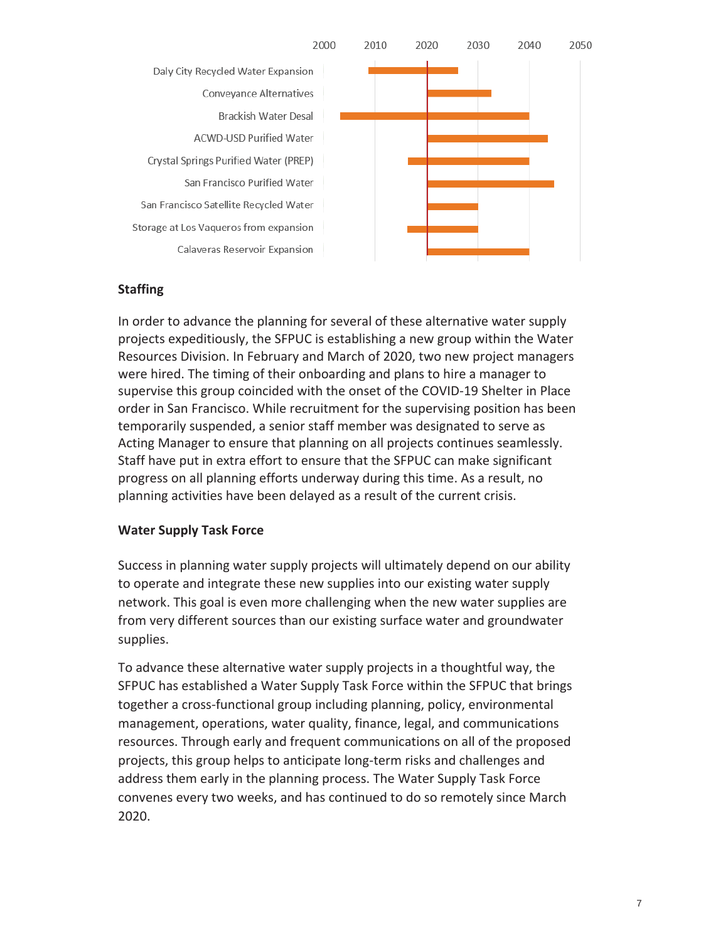

# **Staffing**

In order to advance the planning for several of these alternative water supply projects expeditiously, the SFPUC is establishing a new group within the Water Resources Division. In February and March of 2020, two new project managers were hired. The timing of their onboarding and plans to hire a manager to supervise this group coincided with the onset of the COVID-19 Shelter in Place order in San Francisco. While recruitment for the supervising position has been temporarily suspended, a senior staff member was designated to serve as Acting Manager to ensure that planning on all projects continues seamlessly. Staff have put in extra effort to ensure that the SFPUC can make significant progress on all planning efforts underway during this time. As a result, no planning activities have been delayed as a result of the current crisis.

# **Water Supply Task Force**

Success in planning water supply projects will ultimately depend on our ability to operate and integrate these new supplies into our existing water supply network. This goal is even more challenging when the new water supplies are from very different sources than our existing surface water and groundwater supplies.

To advance these alternative water supply projects in a thoughtful way, the SFPUC has established a Water Supply Task Force within the SFPUC that brings together a cross-functional group including planning, policy, environmental management, operations, water quality, finance, legal, and communications resources. Through early and frequent communications on all of the proposed projects, this group helps to anticipate long-term risks and challenges and address them early in the planning process. The Water Supply Task Force convenes every two weeks, and has continued to do so remotely since March 2020.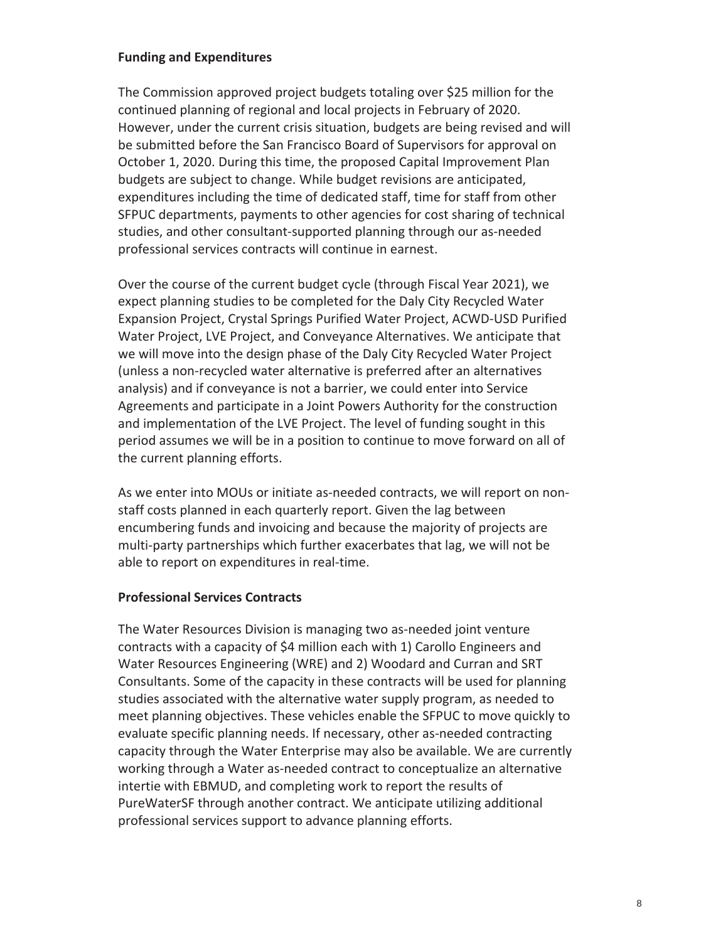# **Funding and Expenditures**

The Commission approved project budgets totaling over \$25 million for the continued planning of regional and local projects in February of 2020. However, under the current crisis situation, budgets are being revised and will be submitted before the San Francisco Board of Supervisors for approval on October 1, 2020. During this time, the proposed Capital Improvement Plan budgets are subject to change. While budget revisions are anticipated, expenditures including the time of dedicated staff, time for staff from other SFPUC departments, payments to other agencies for cost sharing of technical studies, and other consultant-supported planning through our as-needed professional services contracts will continue in earnest.

Over the course of the current budget cycle (through Fiscal Year 2021), we expect planning studies to be completed for the Daly City Recycled Water Expansion Project, Crystal Springs Purified Water Project, ACWD-USD Purified Water Project, LVE Project, and Conveyance Alternatives. We anticipate that we will move into the design phase of the Daly City Recycled Water Project (unless a non-recycled water alternative is preferred after an alternatives analysis) and if conveyance is not a barrier, we could enter into Service Agreements and participate in a Joint Powers Authority for the construction and implementation of the LVE Project. The level of funding sought in this period assumes we will be in a position to continue to move forward on all of the current planning efforts.

As we enter into MOUs or initiate as-needed contracts, we will report on nonstaff costs planned in each quarterly report. Given the lag between encumbering funds and invoicing and because the majority of projects are multi-party partnerships which further exacerbates that lag, we will not be able to report on expenditures in real-time.

# **Professional Services Contracts**

The Water Resources Division is managing two as-needed joint venture contracts with a capacity of \$4 million each with 1) Carollo Engineers and Water Resources Engineering (WRE) and 2) Woodard and Curran and SRT Consultants. Some of the capacity in these contracts will be used for planning studies associated with the alternative water supply program, as needed to meet planning objectives. These vehicles enable the SFPUC to move quickly to evaluate specific planning needs. If necessary, other as-needed contracting capacity through the Water Enterprise may also be available. We are currently working through a Water as-needed contract to conceptualize an alternative intertie with EBMUD, and completing work to report the results of PureWaterSF through another contract. We anticipate utilizing additional professional services support to advance planning efforts.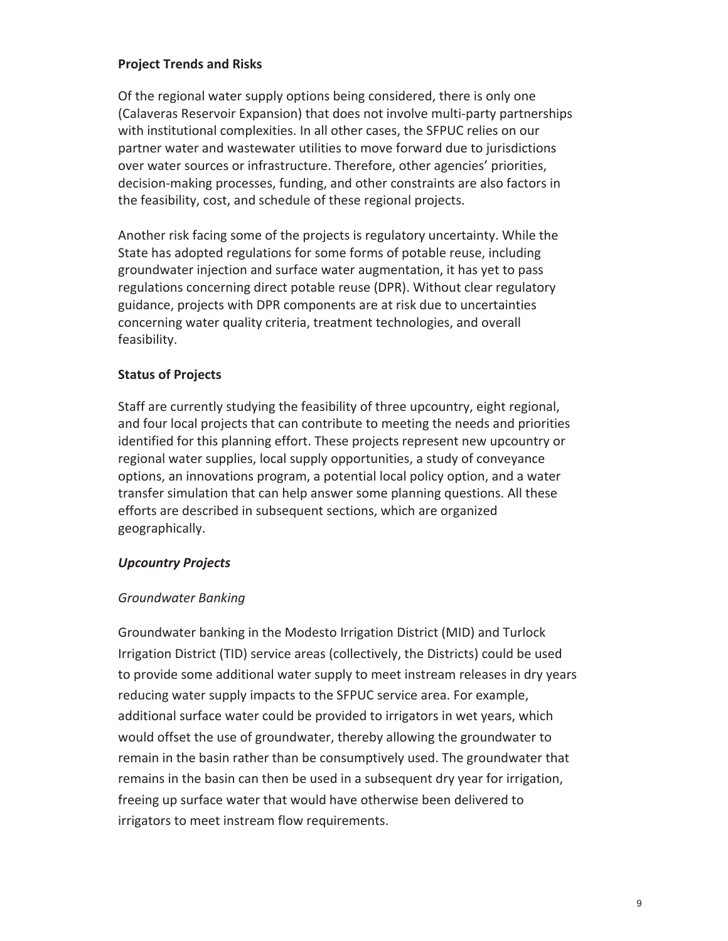# **Project Trends and Risks**

Of the regional water supply options being considered, there is only one (Calaveras Reservoir Expansion) that does not involve multi-party partnerships with institutional complexities. In all other cases, the SFPUC relies on our partner water and wastewater utilities to move forward due to jurisdictions over water sources or infrastructure. Therefore, other agencies' priorities, decision-making processes, funding, and other constraints are also factors in the feasibility, cost, and schedule of these regional projects.

Another risk facing some of the projects is regulatory uncertainty. While the State has adopted regulations for some forms of potable reuse, including groundwater injection and surface water augmentation, it has yet to pass regulations concerning direct potable reuse (DPR). Without clear regulatory guidance, projects with DPR components are at risk due to uncertainties concerning water quality criteria, treatment technologies, and overall feasibility.

# **Status of Projects**

Staff are currently studying the feasibility of three upcountry, eight regional, and four local projects that can contribute to meeting the needs and priorities identified for this planning effort. These projects represent new upcountry or regional water supplies, local supply opportunities, a study of conveyance options, an innovations program, a potential local policy option, and a water transfer simulation that can help answer some planning questions. All these efforts are described in subsequent sections, which are organized geographically.

# *Upcountry Projects*

# *Groundwater Banking*

Groundwater banking in the Modesto Irrigation District (MID) and Turlock Irrigation District (TID) service areas (collectively, the Districts) could be used to provide some additional water supply to meet instream releases in dry years reducing water supply impacts to the SFPUC service area. For example, additional surface water could be provided to irrigators in wet years, which would offset the use of groundwater, thereby allowing the groundwater to remain in the basin rather than be consumptively used. The groundwater that remains in the basin can then be used in a subsequent dry year for irrigation, freeing up surface water that would have otherwise been delivered to irrigators to meet instream flow requirements.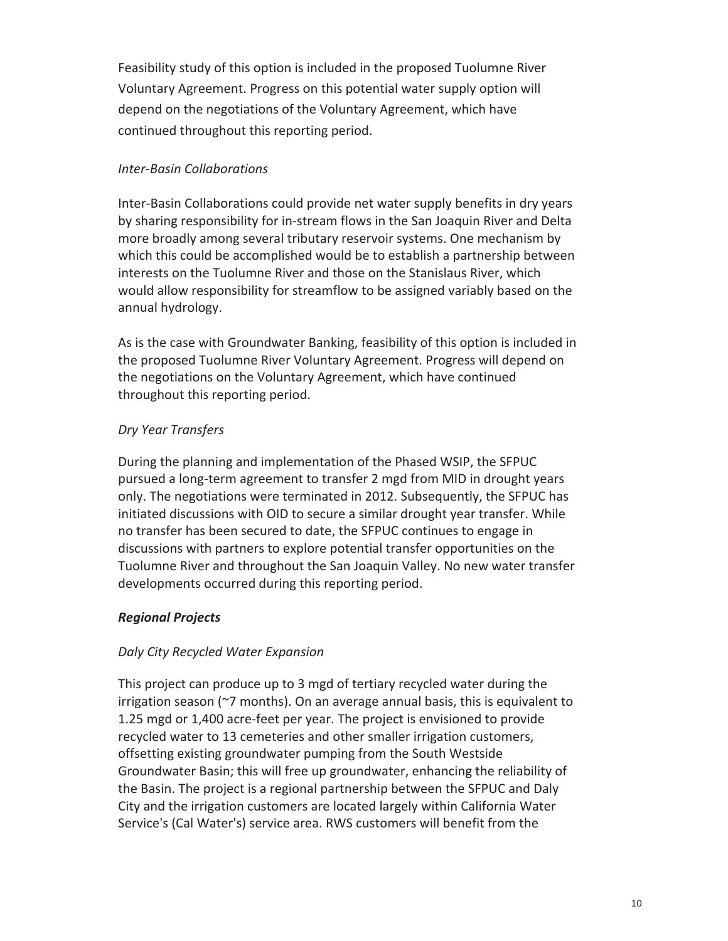Feasibility study of this option is included in the proposed Tuolumne River Voluntary Agreement. Progress on this potential water supply option will depend on the negotiations of the Voluntary Agreement, which have continued throughout this reporting period.

# *Inter-Basin Collaborations*

Inter-Basin Collaborations could provide net water supply benefits in dry years by sharing responsibility for in-stream flows in the San Joaquin River and Delta more broadly among several tributary reservoir systems. One mechanism by which this could be accomplished would be to establish a partnership between interests on the Tuolumne River and those on the Stanislaus River, which would allow responsibility for streamflow to be assigned variably based on the annual hydrology.

As is the case with Groundwater Banking, feasibility of this option is included in the proposed Tuolumne River Voluntary Agreement. Progress will depend on the negotiations on the Voluntary Agreement, which have continued throughout this reporting period.

# *Dry Year Transfers*

During the planning and implementation of the Phased WSIP, the SFPUC pursued a long-term agreement to transfer 2 mgd from MID in drought years only. The negotiations were terminated in 2012. Subsequently, the SFPUC has initiated discussions with OID to secure a similar drought year transfer. While no transfer has been secured to date, the SFPUC continues to engage in discussions with partners to explore potential transfer opportunities on the Tuolumne River and throughout the San Joaquin Valley. No new water transfer developments occurred during this reporting period.

# *Regional Projects*

# *Daly City Recycled Water Expansion*

This project can produce up to 3 mgd of tertiary recycled water during the irrigation season ( $27$  months). On an average annual basis, this is equivalent to 1.25 mgd or 1,400 acre-feet per year. The project is envisioned to provide recycled water to 13 cemeteries and other smaller irrigation customers, offsetting existing groundwater pumping from the South Westside Groundwater Basin; this will free up groundwater, enhancing the reliability of the Basin. The project is a regional partnership between the SFPUC and Daly City and the irrigation customers are located largely within California Water Service's (Cal Water's) service area. RWS customers will benefit from the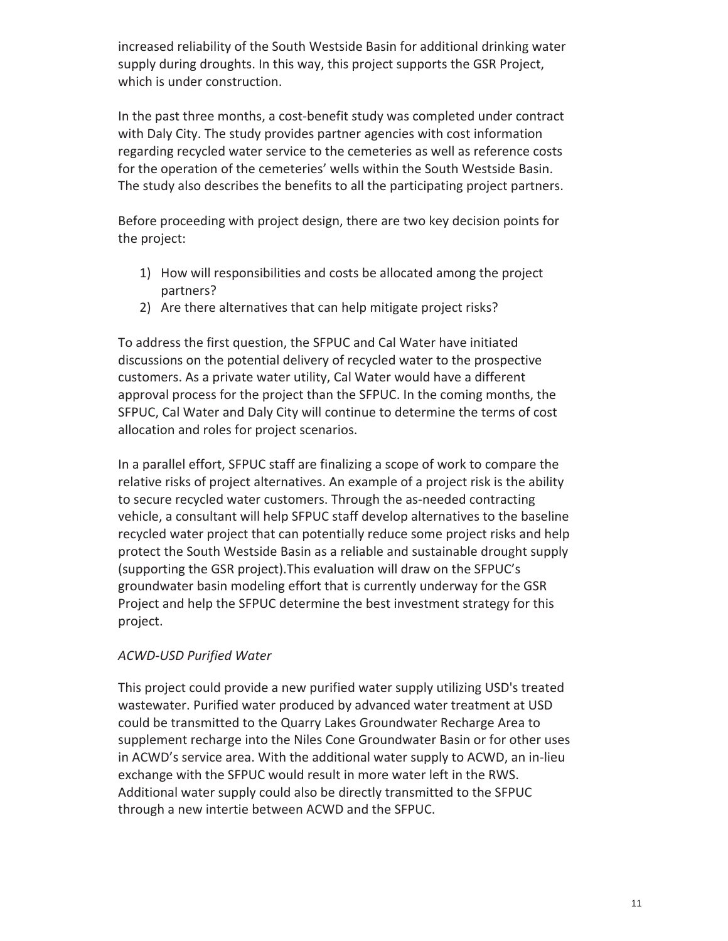increased reliability of the South Westside Basin for additional drinking water supply during droughts. In this way, this project supports the GSR Project, which is under construction.

In the past three months, a cost-benefit study was completed under contract with Daly City. The study provides partner agencies with cost information regarding recycled water service to the cemeteries as well as reference costs for the operation of the cemeteries' wells within the South Westside Basin. The study also describes the benefits to all the participating project partners.

Before proceeding with project design, there are two key decision points for the project:

- 1) How will responsibilities and costs be allocated among the project partners?
- 2) Are there alternatives that can help mitigate project risks?

To address the first question, the SFPUC and Cal Water have initiated discussions on the potential delivery of recycled water to the prospective customers. As a private water utility, Cal Water would have a different approval process for the project than the SFPUC. In the coming months, the SFPUC, Cal Water and Daly City will continue to determine the terms of cost allocation and roles for project scenarios.

In a parallel effort, SFPUC staff are finalizing a scope of work to compare the relative risks of project alternatives. An example of a project risk is the ability to secure recycled water customers. Through the as-needed contracting vehicle, a consultant will help SFPUC staff develop alternatives to the baseline recycled water project that can potentially reduce some project risks and help protect the South Westside Basin as a reliable and sustainable drought supply (supporting the GSR project).This evaluation will draw on the SFPUC's groundwater basin modeling effort that is currently underway for the GSR Project and help the SFPUC determine the best investment strategy for this project.

# *ACWD-USD Purified Water*

This project could provide a new purified water supply utilizing USD's treated wastewater. Purified water produced by advanced water treatment at USD could be transmitted to the Quarry Lakes Groundwater Recharge Area to supplement recharge into the Niles Cone Groundwater Basin or for other uses in ACWD's service area. With the additional water supply to ACWD, an in-lieu exchange with the SFPUC would result in more water left in the RWS. Additional water supply could also be directly transmitted to the SFPUC through a new intertie between ACWD and the SFPUC.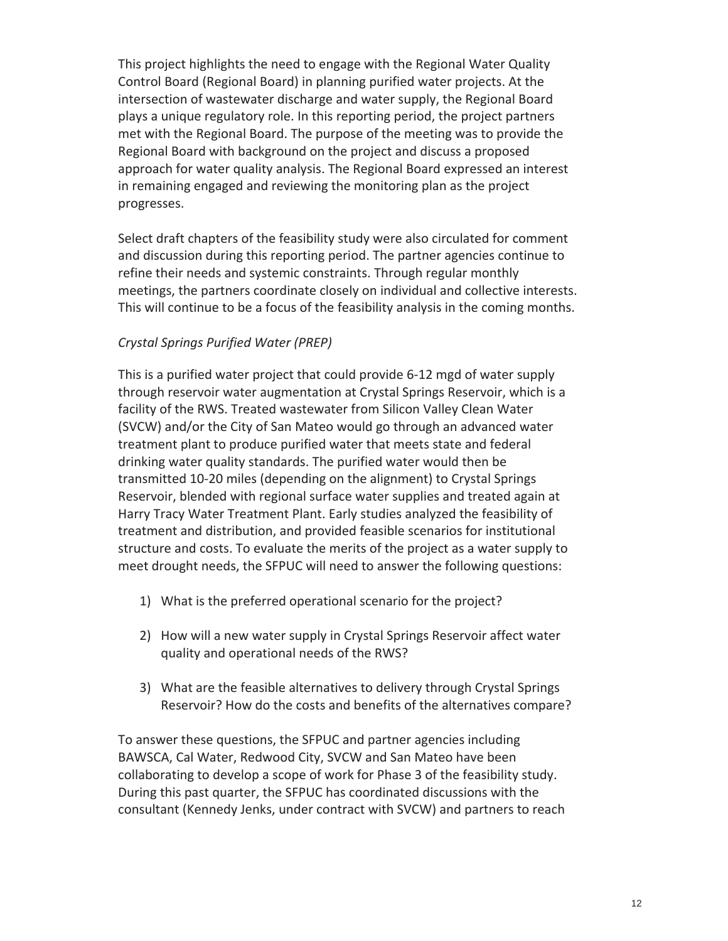This project highlights the need to engage with the Regional Water Quality Control Board (Regional Board) in planning purified water projects. At the intersection of wastewater discharge and water supply, the Regional Board plays a unique regulatory role. In this reporting period, the project partners met with the Regional Board. The purpose of the meeting was to provide the Regional Board with background on the project and discuss a proposed approach for water quality analysis. The Regional Board expressed an interest in remaining engaged and reviewing the monitoring plan as the project progresses.

Select draft chapters of the feasibility study were also circulated for comment and discussion during this reporting period. The partner agencies continue to refine their needs and systemic constraints. Through regular monthly meetings, the partners coordinate closely on individual and collective interests. This will continue to be a focus of the feasibility analysis in the coming months.

# *Crystal Springs Purified Water (PREP)*

This is a purified water project that could provide 6-12 mgd of water supply through reservoir water augmentation at Crystal Springs Reservoir, which is a facility of the RWS. Treated wastewater from Silicon Valley Clean Water (SVCW) and/or the City of San Mateo would go through an advanced water treatment plant to produce purified water that meets state and federal drinking water quality standards. The purified water would then be transmitted 10-20 miles (depending on the alignment) to Crystal Springs Reservoir, blended with regional surface water supplies and treated again at Harry Tracy Water Treatment Plant. Early studies analyzed the feasibility of treatment and distribution, and provided feasible scenarios for institutional structure and costs. To evaluate the merits of the project as a water supply to meet drought needs, the SFPUC will need to answer the following questions:

- 1) What is the preferred operational scenario for the project?
- 2) How will a new water supply in Crystal Springs Reservoir affect water quality and operational needs of the RWS?
- 3) What are the feasible alternatives to delivery through Crystal Springs Reservoir? How do the costs and benefits of the alternatives compare?

To answer these questions, the SFPUC and partner agencies including BAWSCA, Cal Water, Redwood City, SVCW and San Mateo have been collaborating to develop a scope of work for Phase 3 of the feasibility study. During this past quarter, the SFPUC has coordinated discussions with the consultant (Kennedy Jenks, under contract with SVCW) and partners to reach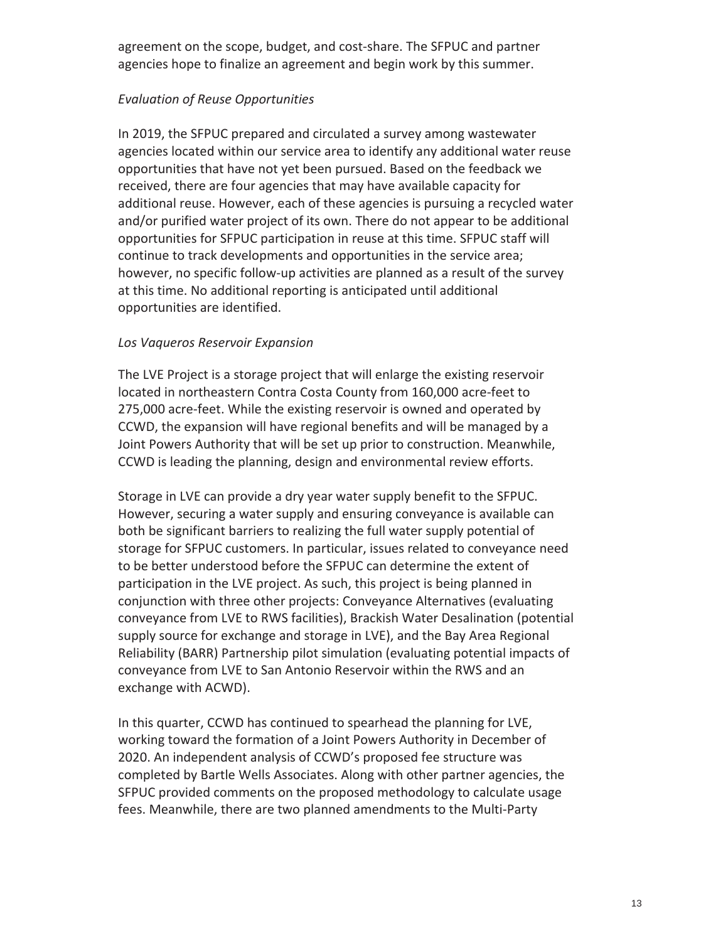agreement on the scope, budget, and cost-share. The SFPUC and partner agencies hope to finalize an agreement and begin work by this summer.

# *Evaluation of Reuse Opportunities*

In 2019, the SFPUC prepared and circulated a survey among wastewater agencies located within our service area to identify any additional water reuse opportunities that have not yet been pursued. Based on the feedback we received, there are four agencies that may have available capacity for additional reuse. However, each of these agencies is pursuing a recycled water and/or purified water project of its own. There do not appear to be additional opportunities for SFPUC participation in reuse at this time. SFPUC staff will continue to track developments and opportunities in the service area; however, no specific follow-up activities are planned as a result of the survey at this time. No additional reporting is anticipated until additional opportunities are identified.

# *Los Vaqueros Reservoir Expansion*

The LVE Project is a storage project that will enlarge the existing reservoir located in northeastern Contra Costa County from 160,000 acre-feet to 275,000 acre-feet. While the existing reservoir is owned and operated by CCWD, the expansion will have regional benefits and will be managed by a Joint Powers Authority that will be set up prior to construction. Meanwhile, CCWD is leading the planning, design and environmental review efforts.

Storage in LVE can provide a dry year water supply benefit to the SFPUC. However, securing a water supply and ensuring conveyance is available can both be significant barriers to realizing the full water supply potential of storage for SFPUC customers. In particular, issues related to conveyance need to be better understood before the SFPUC can determine the extent of participation in the LVE project. As such, this project is being planned in conjunction with three other projects: Conveyance Alternatives (evaluating conveyance from LVE to RWS facilities), Brackish Water Desalination (potential supply source for exchange and storage in LVE), and the Bay Area Regional Reliability (BARR) Partnership pilot simulation (evaluating potential impacts of conveyance from LVE to San Antonio Reservoir within the RWS and an exchange with ACWD).

In this quarter, CCWD has continued to spearhead the planning for LVE, working toward the formation of a Joint Powers Authority in December of 2020. An independent analysis of CCWD's proposed fee structure was completed by Bartle Wells Associates. Along with other partner agencies, the SFPUC provided comments on the proposed methodology to calculate usage fees. Meanwhile, there are two planned amendments to the Multi-Party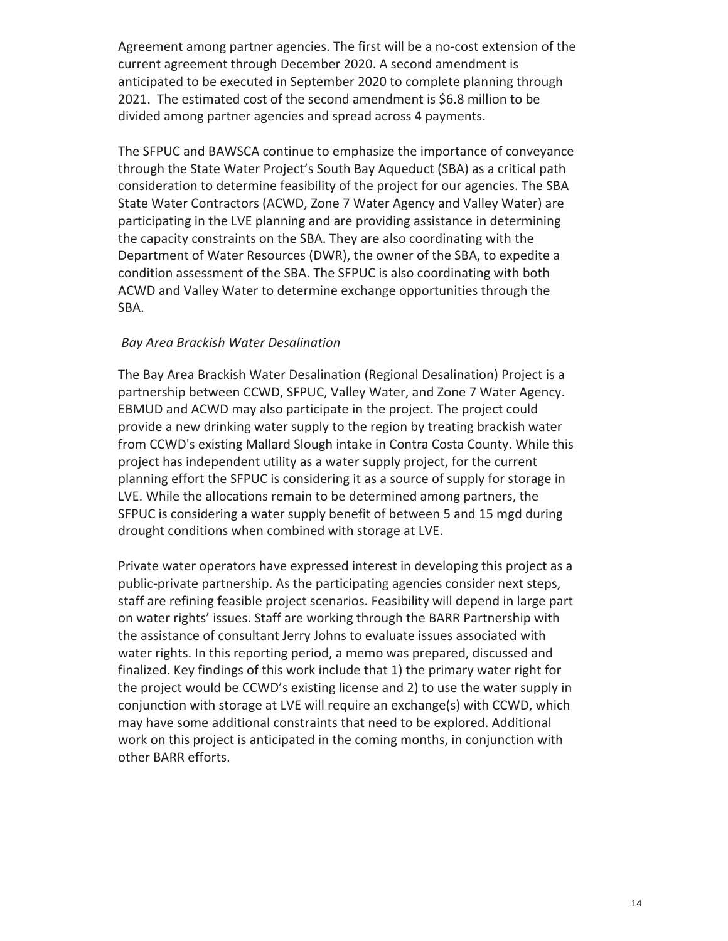Agreement among partner agencies. The first will be a no-cost extension of the current agreement through December 2020. A second amendment is anticipated to be executed in September 2020 to complete planning through 2021. The estimated cost of the second amendment is \$6.8 million to be divided among partner agencies and spread across 4 payments.

The SFPUC and BAWSCA continue to emphasize the importance of conveyance through the State Water Project's South Bay Aqueduct (SBA) as a critical path consideration to determine feasibility of the project for our agencies. The SBA State Water Contractors (ACWD, Zone 7 Water Agency and Valley Water) are participating in the LVE planning and are providing assistance in determining the capacity constraints on the SBA. They are also coordinating with the Department of Water Resources (DWR), the owner of the SBA, to expedite a condition assessment of the SBA. The SFPUC is also coordinating with both ACWD and Valley Water to determine exchange opportunities through the SBA.

# *Bay Area Brackish Water Desalination*

The Bay Area Brackish Water Desalination (Regional Desalination) Project is a partnership between CCWD, SFPUC, Valley Water, and Zone 7 Water Agency. EBMUD and ACWD may also participate in the project. The project could provide a new drinking water supply to the region by treating brackish water from CCWD's existing Mallard Slough intake in Contra Costa County. While this project has independent utility as a water supply project, for the current planning effort the SFPUC is considering it as a source of supply for storage in LVE. While the allocations remain to be determined among partners, the SFPUC is considering a water supply benefit of between 5 and 15 mgd during drought conditions when combined with storage at LVE.

Private water operators have expressed interest in developing this project as a public-private partnership. As the participating agencies consider next steps, staff are refining feasible project scenarios. Feasibility will depend in large part on water rights' issues. Staff are working through the BARR Partnership with the assistance of consultant Jerry Johns to evaluate issues associated with water rights. In this reporting period, a memo was prepared, discussed and finalized. Key findings of this work include that 1) the primary water right for the project would be CCWD's existing license and 2) to use the water supply in conjunction with storage at LVE will require an exchange(s) with CCWD, which may have some additional constraints that need to be explored. Additional work on this project is anticipated in the coming months, in conjunction with other BARR efforts.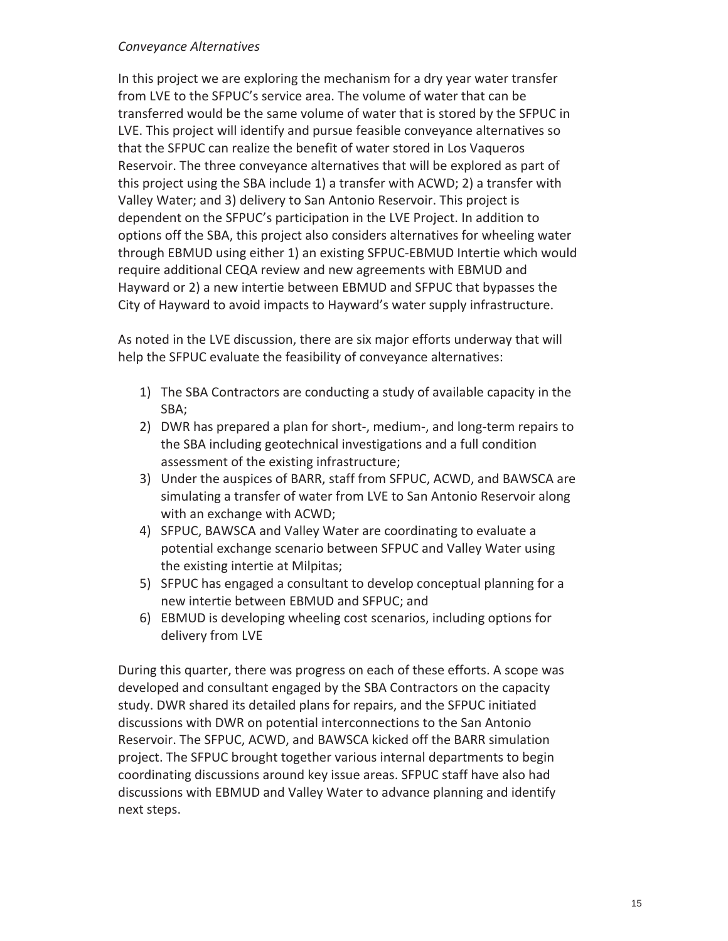# *Conveyance Alternatives*

In this project we are exploring the mechanism for a dry year water transfer from LVE to the SFPUC's service area. The volume of water that can be transferred would be the same volume of water that is stored by the SFPUC in LVE. This project will identify and pursue feasible conveyance alternatives so that the SFPUC can realize the benefit of water stored in Los Vaqueros Reservoir. The three conveyance alternatives that will be explored as part of this project using the SBA include 1) a transfer with ACWD; 2) a transfer with Valley Water; and 3) delivery to San Antonio Reservoir. This project is dependent on the SFPUC's participation in the LVE Project. In addition to options off the SBA, this project also considers alternatives for wheeling water through EBMUD using either 1) an existing SFPUC-EBMUD Intertie which would require additional CEQA review and new agreements with EBMUD and Hayward or 2) a new intertie between EBMUD and SFPUC that bypasses the City of Hayward to avoid impacts to Hayward's water supply infrastructure.

As noted in the LVE discussion, there are six major efforts underway that will help the SFPUC evaluate the feasibility of conveyance alternatives:

- 1) The SBA Contractors are conducting a study of available capacity in the SBA;
- 2) DWR has prepared a plan for short-, medium-, and long-term repairs to the SBA including geotechnical investigations and a full condition assessment of the existing infrastructure;
- 3) Under the auspices of BARR, staff from SFPUC, ACWD, and BAWSCA are simulating a transfer of water from LVE to San Antonio Reservoir along with an exchange with ACWD;
- 4) SFPUC, BAWSCA and Valley Water are coordinating to evaluate a potential exchange scenario between SFPUC and Valley Water using the existing intertie at Milpitas;
- 5) SFPUC has engaged a consultant to develop conceptual planning for a new intertie between EBMUD and SFPUC; and
- 6) EBMUD is developing wheeling cost scenarios, including options for delivery from LVE

During this quarter, there was progress on each of these efforts. A scope was developed and consultant engaged by the SBA Contractors on the capacity study. DWR shared its detailed plans for repairs, and the SFPUC initiated discussions with DWR on potential interconnections to the San Antonio Reservoir. The SFPUC, ACWD, and BAWSCA kicked off the BARR simulation project. The SFPUC brought together various internal departments to begin coordinating discussions around key issue areas. SFPUC staff have also had discussions with EBMUD and Valley Water to advance planning and identify next steps.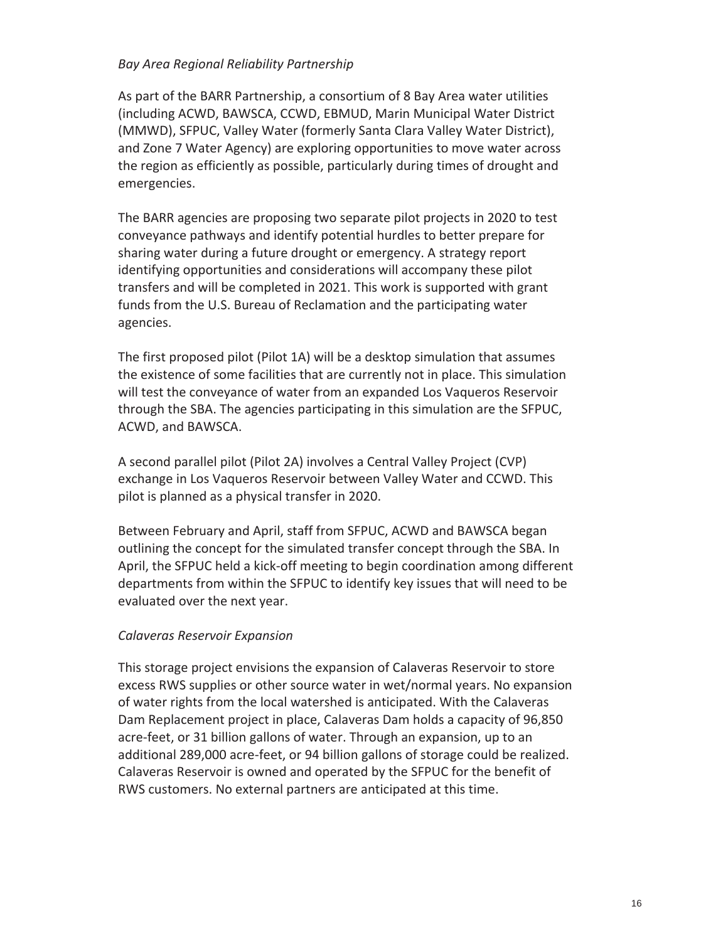# *Bay Area Regional Reliability Partnership*

As part of the BARR Partnership, a consortium of 8 Bay Area water utilities (including ACWD, BAWSCA, CCWD, EBMUD, Marin Municipal Water District (MMWD), SFPUC, Valley Water (formerly Santa Clara Valley Water District), and Zone 7 Water Agency) are exploring opportunities to move water across the region as efficiently as possible, particularly during times of drought and emergencies.

The BARR agencies are proposing two separate pilot projects in 2020 to test conveyance pathways and identify potential hurdles to better prepare for sharing water during a future drought or emergency. A strategy report identifying opportunities and considerations will accompany these pilot transfers and will be completed in 2021. This work is supported with grant funds from the U.S. Bureau of Reclamation and the participating water agencies.

The first proposed pilot (Pilot 1A) will be a desktop simulation that assumes the existence of some facilities that are currently not in place. This simulation will test the conveyance of water from an expanded Los Vaqueros Reservoir through the SBA. The agencies participating in this simulation are the SFPUC, ACWD, and BAWSCA.

A second parallel pilot (Pilot 2A) involves a Central Valley Project (CVP) exchange in Los Vaqueros Reservoir between Valley Water and CCWD. This pilot is planned as a physical transfer in 2020.

Between February and April, staff from SFPUC, ACWD and BAWSCA began outlining the concept for the simulated transfer concept through the SBA. In April, the SFPUC held a kick-off meeting to begin coordination among different departments from within the SFPUC to identify key issues that will need to be evaluated over the next year.

# *Calaveras Reservoir Expansion*

This storage project envisions the expansion of Calaveras Reservoir to store excess RWS supplies or other source water in wet/normal years. No expansion of water rights from the local watershed is anticipated. With the Calaveras Dam Replacement project in place, Calaveras Dam holds a capacity of 96,850 acre-feet, or 31 billion gallons of water. Through an expansion, up to an additional 289,000 acre-feet, or 94 billion gallons of storage could be realized. Calaveras Reservoir is owned and operated by the SFPUC for the benefit of RWS customers. No external partners are anticipated at this time.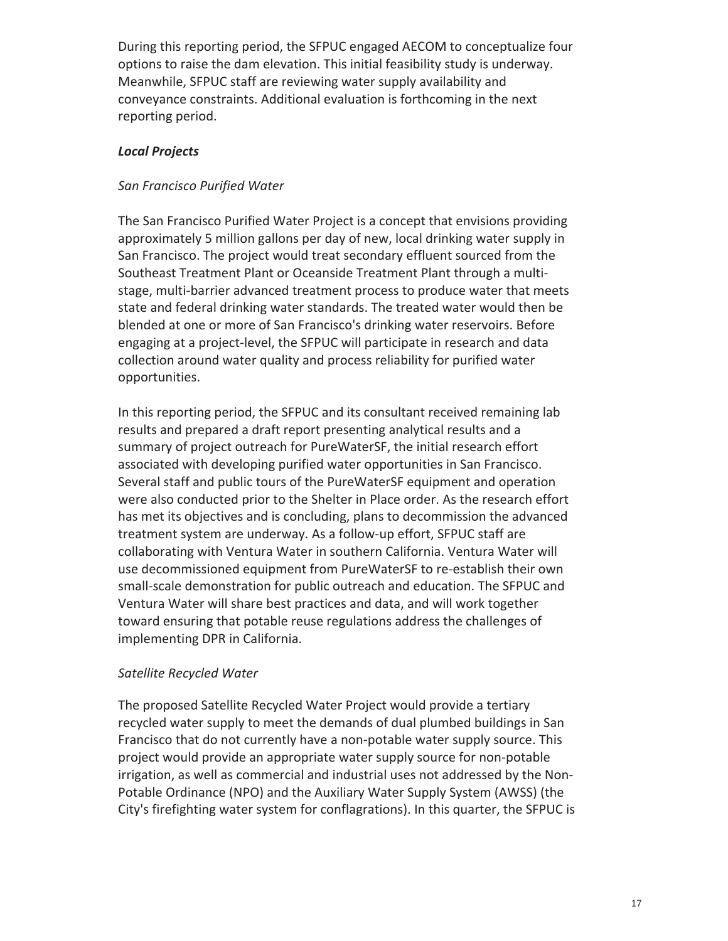During this reporting period, the SFPUC engaged AECOM to conceptualize four options to raise the dam elevation. This initial feasibility study is underway. Meanwhile, SFPUC staff are reviewing water supply availability and conveyance constraints. Additional evaluation is forthcoming in the next reporting period.

# *Local Projects*

# *San Francisco Purified Water*

The San Francisco Purified Water Project is a concept that envisions providing approximately 5 million gallons per day of new, local drinking water supply in San Francisco. The project would treat secondary effluent sourced from the Southeast Treatment Plant or Oceanside Treatment Plant through a multistage, multi-barrier advanced treatment process to produce water that meets state and federal drinking water standards. The treated water would then be blended at one or more of San Francisco's drinking water reservoirs. Before engaging at a project-level, the SFPUC will participate in research and data collection around water quality and process reliability for purified water opportunities.

In this reporting period, the SFPUC and its consultant received remaining lab results and prepared a draft report presenting analytical results and a summary of project outreach for PureWaterSF, the initial research effort associated with developing purified water opportunities in San Francisco. Several staff and public tours of the PureWaterSF equipment and operation were also conducted prior to the Shelter in Place order. As the research effort has met its objectives and is concluding, plans to decommission the advanced treatment system are underway. As a follow-up effort, SFPUC staff are collaborating with Ventura Water in southern California. Ventura Water will use decommissioned equipment from PureWaterSF to re-establish their own small-scale demonstration for public outreach and education. The SFPUC and Ventura Water will share best practices and data, and will work together toward ensuring that potable reuse regulations address the challenges of implementing DPR in California.

# *Satellite Recycled Water*

The proposed Satellite Recycled Water Project would provide a tertiary recycled water supply to meet the demands of dual plumbed buildings in San Francisco that do not currently have a non-potable water supply source. This project would provide an appropriate water supply source for non-potable irrigation, as well as commercial and industrial uses not addressed by the Non-Potable Ordinance (NPO) and the Auxiliary Water Supply System (AWSS) (the City's firefighting water system for conflagrations). In this quarter, the SFPUC is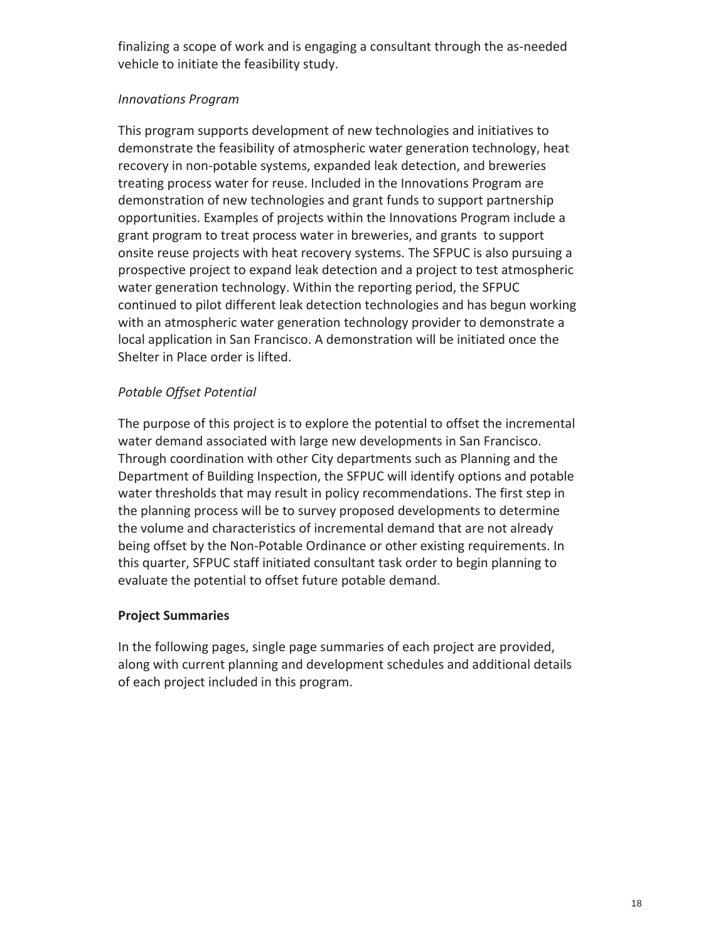finalizing a scope of work and is engaging a consultant through the as-needed vehicle to initiate the feasibility study.

# *Innovations Program*

This program supports development of new technologies and initiatives to demonstrate the feasibility of atmospheric water generation technology, heat recovery in non-potable systems, expanded leak detection, and breweries treating process water for reuse. Included in the Innovations Program are demonstration of new technologies and grant funds to support partnership opportunities. Examples of projects within the Innovations Program include a grant program to treat process water in breweries, and grants to support onsite reuse projects with heat recovery systems. The SFPUC is also pursuing a prospective project to expand leak detection and a project to test atmospheric water generation technology. Within the reporting period, the SFPUC continued to pilot different leak detection technologies and has begun working with an atmospheric water generation technology provider to demonstrate a local application in San Francisco. A demonstration will be initiated once the Shelter in Place order is lifted.

# *Potable Offset Potential*

The purpose of this project is to explore the potential to offset the incremental water demand associated with large new developments in San Francisco. Through coordination with other City departments such as Planning and the Department of Building Inspection, the SFPUC will identify options and potable water thresholds that may result in policy recommendations. The first step in the planning process will be to survey proposed developments to determine the volume and characteristics of incremental demand that are not already being offset by the Non-Potable Ordinance or other existing requirements. In this quarter, SFPUC staff initiated consultant task order to begin planning to evaluate the potential to offset future potable demand.

# **Project Summaries**

In the following pages, single page summaries of each project are provided, along with current planning and development schedules and additional details of each project included in this program.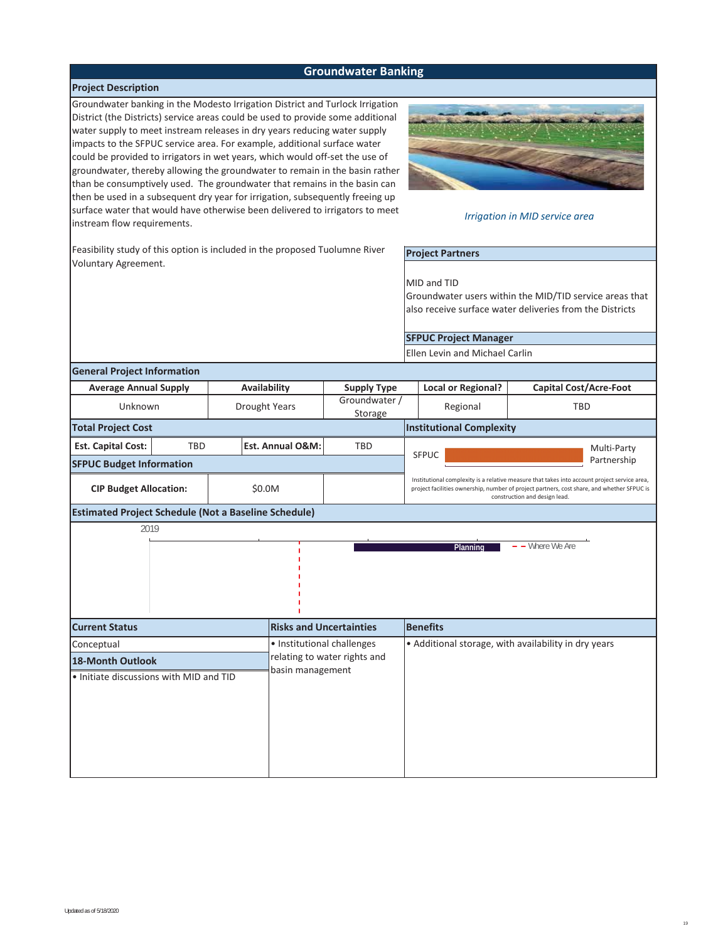#### **Groundwater Banking**

#### **Project Description**

Groundwater banking in the Modesto Irrigation District and Turlock Irrigation District (the Districts) service areas could be used to provide some additional water supply to meet instream releases in dry years reducing water supply impacts to the SFPUC service area. For example, additional surface water could be provided to irrigators in wet years, which would off-set the use of groundwater, thereby allowing the groundwater to remain in the basin rather than be consumptively used. The groundwater that remains in the basin can then be used in a subsequent dry year for irrigation, subsequently freeing up surface water that would have otherwise been delivered to irrigators to meet instream flow requirements.



#### *Irrigation in MID service area*

Feasibility study of this option is included in the proposed Tuolumne River Voluntary Agreement.

#### **Project Partners**

#### MID and TID

Groundwater users within the MID/TID service areas that also receive surface water deliveries from the Districts

#### **SFPUC Project Manager**

Ellen Levin and Michael Carlin

#### **General Project Information**

| <b>Average Annual Supply</b>                                |                                         | Availability  |                  | <b>Supply Type</b>              |                                                                                                                                                                                                                             | <b>Local or Regional?</b>                            | <b>Capital Cost/Acre-Foot</b> |             |
|-------------------------------------------------------------|-----------------------------------------|---------------|------------------|---------------------------------|-----------------------------------------------------------------------------------------------------------------------------------------------------------------------------------------------------------------------------|------------------------------------------------------|-------------------------------|-------------|
| Unknown                                                     |                                         | Drought Years |                  | Groundwater /<br><b>Storage</b> |                                                                                                                                                                                                                             | Regional                                             | <b>TBD</b>                    |             |
| <b>Total Project Cost</b>                                   |                                         |               |                  |                                 |                                                                                                                                                                                                                             | <b>Institutional Complexity</b>                      |                               |             |
| <b>Est. Capital Cost:</b>                                   | <b>TBD</b>                              |               | Est. Annual O&M: | <b>TBD</b>                      |                                                                                                                                                                                                                             |                                                      |                               | Multi-Party |
| <b>SFPUC Budget Information</b>                             |                                         |               |                  |                                 | <b>SFPUC</b>                                                                                                                                                                                                                |                                                      |                               | Partnership |
|                                                             | \$0.0M<br><b>CIP Budget Allocation:</b> |               |                  |                                 | Institutional complexity is a relative measure that takes into account project service area,<br>project facilities ownership, number of project partners, cost share, and whether SFPUC is<br>construction and design lead. |                                                      |                               |             |
| <b>Estimated Project Schedule (Not a Baseline Schedule)</b> |                                         |               |                  |                                 |                                                                                                                                                                                                                             |                                                      |                               |             |
| 2019                                                        |                                         |               |                  |                                 |                                                                                                                                                                                                                             |                                                      |                               |             |
|                                                             |                                         |               |                  |                                 |                                                                                                                                                                                                                             | Planning                                             | $-$ - Where We Are            |             |
|                                                             |                                         |               |                  |                                 |                                                                                                                                                                                                                             |                                                      |                               |             |
|                                                             |                                         |               |                  |                                 |                                                                                                                                                                                                                             |                                                      |                               |             |
|                                                             |                                         |               |                  |                                 |                                                                                                                                                                                                                             |                                                      |                               |             |
|                                                             |                                         |               |                  |                                 |                                                                                                                                                                                                                             |                                                      |                               |             |
|                                                             |                                         |               |                  |                                 |                                                                                                                                                                                                                             |                                                      |                               |             |
| <b>Current Status</b>                                       |                                         |               |                  | <b>Risks and Uncertainties</b>  | <b>Benefits</b>                                                                                                                                                                                                             |                                                      |                               |             |
| Conceptual                                                  |                                         |               |                  | • Institutional challenges      |                                                                                                                                                                                                                             | • Additional storage, with availability in dry years |                               |             |
| 18-Month Outlook                                            |                                         |               |                  | relating to water rights and    |                                                                                                                                                                                                                             |                                                      |                               |             |
| . Initiate discussions with MID and TID                     |                                         |               | basin management |                                 |                                                                                                                                                                                                                             |                                                      |                               |             |
|                                                             |                                         |               |                  |                                 |                                                                                                                                                                                                                             |                                                      |                               |             |
|                                                             |                                         |               |                  |                                 |                                                                                                                                                                                                                             |                                                      |                               |             |
|                                                             |                                         |               |                  |                                 |                                                                                                                                                                                                                             |                                                      |                               |             |
|                                                             |                                         |               |                  |                                 |                                                                                                                                                                                                                             |                                                      |                               |             |
|                                                             |                                         |               |                  |                                 |                                                                                                                                                                                                                             |                                                      |                               |             |
|                                                             |                                         |               |                  |                                 |                                                                                                                                                                                                                             |                                                      |                               |             |
|                                                             |                                         |               |                  |                                 |                                                                                                                                                                                                                             |                                                      |                               |             |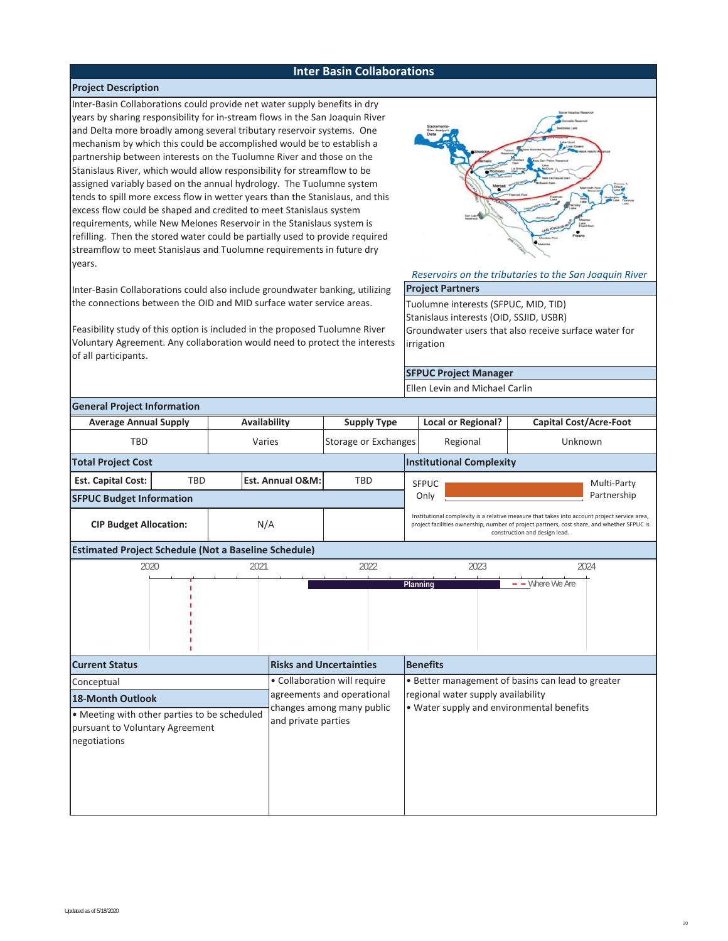#### **Inter Basin Collaborations**

#### **Project Description**

**General Project Information**

Inter-Basin Collaborations could provide net water supply benefits in dry years by sharing responsibility for in-stream flows in the San Joaquin River and Delta more broadly among several tributary reservoir systems. One mechanism by which this could be accomplished would be to establish a partnership between interests on the Tuolumne River and those on the Stanislaus River, which would allow responsibility for streamflow to be assigned variably based on the annual hydrology. The Tuolumne system tends to spill more excess flow in wetter years than the Stanislaus, and this excess flow could be shaped and credited to meet Stanislaus system requirements, while New Melones Reservoir in the Stanislaus system is refilling. Then the stored water could be partially used to provide required streamflow to meet Stanislaus and Tuolumne requirements in future dry years.

Inter-Basin Collaborations could also include groundwater banking, utilizing the connections between the OID and MID surface water service areas.

Feasibility study of this option is included in the proposed Tuolumne River Voluntary Agreement. Any collaboration would need to protect the interests of all participants.



*Reservoirs on the tributaries to the San Joaquin River* **Project Partners**

Tuolumne interests (SFPUC, MID, TID) Stanislaus interests (OID, SSJID, USBR) Groundwater users that also receive surface water for irrigation

**SFPUC Project Manager**

Ellen Levin and Michael Carlin

| General Project Information                                                                     |            |              |                                |                                                         |                                           |                                    |                                                                                                                                                                                                                             |  |  |  |
|-------------------------------------------------------------------------------------------------|------------|--------------|--------------------------------|---------------------------------------------------------|-------------------------------------------|------------------------------------|-----------------------------------------------------------------------------------------------------------------------------------------------------------------------------------------------------------------------------|--|--|--|
| <b>Average Annual Supply</b>                                                                    |            | Availability |                                | <b>Supply Type</b>                                      |                                           | <b>Local or Regional?</b>          | <b>Capital Cost/Acre-Foot</b>                                                                                                                                                                                               |  |  |  |
| <b>TBD</b>                                                                                      |            | Varies       |                                | Storage or Exchanges                                    |                                           | Regional                           | Unknown                                                                                                                                                                                                                     |  |  |  |
| <b>Total Project Cost</b>                                                                       |            |              |                                |                                                         |                                           | <b>Institutional Complexity</b>    |                                                                                                                                                                                                                             |  |  |  |
| <b>Est. Capital Cost:</b>                                                                       | <b>TBD</b> |              | Est. Annual O&M:<br><b>TBD</b> |                                                         |                                           | Multi-Party<br><b>SFPUC</b>        |                                                                                                                                                                                                                             |  |  |  |
| <b>SFPUC Budget Information</b>                                                                 |            |              |                                |                                                         | Only                                      |                                    | Partnership                                                                                                                                                                                                                 |  |  |  |
| <b>CIP Budget Allocation:</b>                                                                   |            | N/A          |                                |                                                         |                                           |                                    | Institutional complexity is a relative measure that takes into account project service area,<br>project facilities ownership, number of project partners, cost share, and whether SFPUC is<br>construction and design lead. |  |  |  |
| <b>Estimated Project Schedule (Not a Baseline Schedule)</b>                                     |            |              |                                |                                                         |                                           |                                    |                                                                                                                                                                                                                             |  |  |  |
| 2020                                                                                            |            | 2021         |                                | 2022                                                    |                                           | 2023                               | 2024                                                                                                                                                                                                                        |  |  |  |
|                                                                                                 |            |              |                                |                                                         |                                           |                                    |                                                                                                                                                                                                                             |  |  |  |
| <b>Current Status</b>                                                                           |            |              |                                | <b>Risks and Uncertainties</b>                          | <b>Benefits</b>                           |                                    |                                                                                                                                                                                                                             |  |  |  |
| Conceptual                                                                                      |            |              |                                | • Collaboration will require                            |                                           |                                    | • Better management of basins can lead to greater                                                                                                                                                                           |  |  |  |
| 18-Month Outlook                                                                                |            |              |                                | agreements and operational<br>changes among many public |                                           | regional water supply availability |                                                                                                                                                                                                                             |  |  |  |
| • Meeting with other parties to be scheduled<br>pursuant to Voluntary Agreement<br>negotiations |            |              | and private parties            |                                                         | • Water supply and environmental benefits |                                    |                                                                                                                                                                                                                             |  |  |  |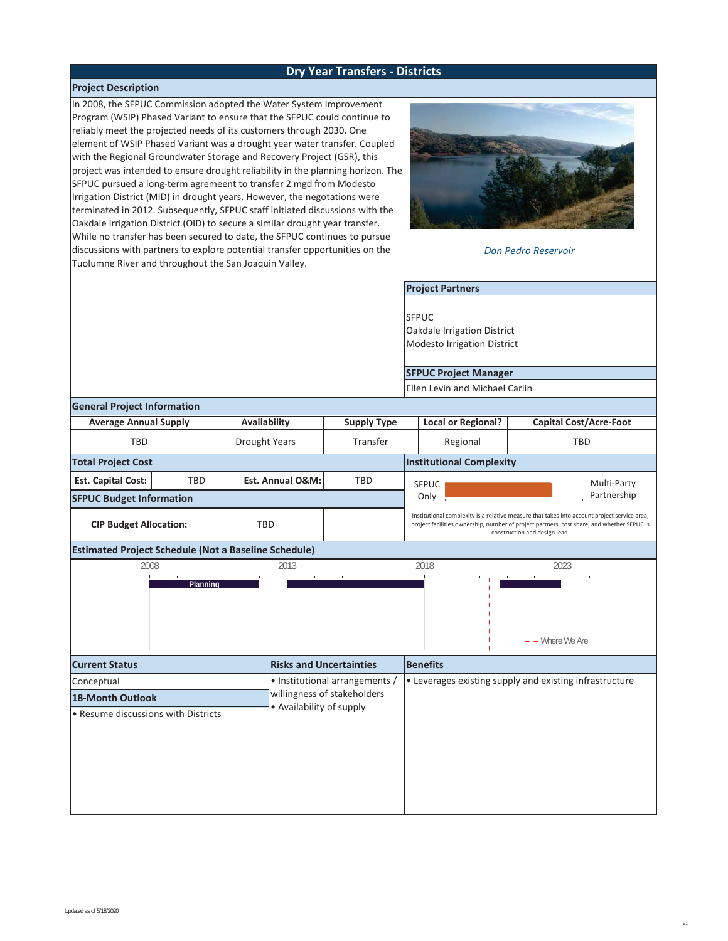# **Dry Year Transfers - Districts**

#### **Project Description**

In 2008, the SFPUC Commission adopted the Water System Improvement Program (WSIP) Phased Variant to ensure that the SFPUC could continue to reliably meet the projected needs of its customers through 2030. One element of WSIP Phased Variant was a drought year water transfer. Coupled with the Regional Groundwater Storage and Recovery Project (GSR), this project was intended to ensure drought reliability in the planning horizon. The SFPUC pursued a long-term agremeent to transfer 2 mgd from Modesto Irrigation District (MID) in drought years. However, the negotations were terminated in 2012. Subsequently, SFPUC staff initiated discussions with the Oakdale Irrigation District (OID) to secure a similar drought year transfer. While no transfer has been secured to date, the SFPUC continues to pursue discussions with partners to explore potential transfer opportunities on the Tuolumne River and throughout the San Joaquin Valley.



*Don Pedro Reservoir*

#### **Project Partners**

SFPUC Oakdale Irrigation District Modesto Irrigation District

**SFPUC Project Manager**

Ellen Levin and Michael Carlin

|                                                             | <b>General Project Information</b> |                      |                          |                                |                                                                                                                                                                                                                             |                                 |                                                         |             |  |  |  |  |  |
|-------------------------------------------------------------|------------------------------------|----------------------|--------------------------|--------------------------------|-----------------------------------------------------------------------------------------------------------------------------------------------------------------------------------------------------------------------------|---------------------------------|---------------------------------------------------------|-------------|--|--|--|--|--|
| <b>Average Annual Supply</b>                                |                                    | Availability         |                          | <b>Supply Type</b>             |                                                                                                                                                                                                                             | <b>Local or Regional?</b>       | <b>Capital Cost/Acre-Foot</b>                           |             |  |  |  |  |  |
| <b>TBD</b>                                                  |                                    | <b>Drought Years</b> |                          | Transfer                       |                                                                                                                                                                                                                             | Regional                        | <b>TBD</b>                                              |             |  |  |  |  |  |
| <b>Total Project Cost</b>                                   |                                    |                      |                          |                                |                                                                                                                                                                                                                             | <b>Institutional Complexity</b> |                                                         |             |  |  |  |  |  |
| <b>Est. Capital Cost:</b>                                   | <b>TBD</b>                         |                      | Est. Annual O&M:         | <b>TBD</b>                     | <b>SFPUC</b>                                                                                                                                                                                                                |                                 |                                                         | Multi-Party |  |  |  |  |  |
| <b>SFPUC Budget Information</b>                             |                                    |                      |                          |                                | Only                                                                                                                                                                                                                        |                                 |                                                         | Partnership |  |  |  |  |  |
| <b>CIP Budget Allocation:</b>                               |                                    | <b>TBD</b>           |                          |                                | Institutional complexity is a relative measure that takes into account project service area,<br>project facilities ownership, number of project partners, cost share, and whether SFPUC is<br>construction and design lead. |                                 |                                                         |             |  |  |  |  |  |
| <b>Estimated Project Schedule (Not a Baseline Schedule)</b> |                                    |                      |                          |                                |                                                                                                                                                                                                                             |                                 |                                                         |             |  |  |  |  |  |
| 2008                                                        |                                    |                      | 2013                     |                                | 2018                                                                                                                                                                                                                        |                                 | 2023                                                    |             |  |  |  |  |  |
|                                                             |                                    |                      |                          |                                |                                                                                                                                                                                                                             |                                 | $-$ - Where We Are                                      |             |  |  |  |  |  |
| <b>Current Status</b>                                       |                                    |                      |                          | <b>Risks and Uncertainties</b> | <b>Benefits</b>                                                                                                                                                                                                             |                                 |                                                         |             |  |  |  |  |  |
| Conceptual                                                  |                                    |                      |                          | • Institutional arrangements / |                                                                                                                                                                                                                             |                                 | • Leverages existing supply and existing infrastructure |             |  |  |  |  |  |
| 18-Month Outlook                                            |                                    |                      | • Availability of supply | willingness of stakeholders    |                                                                                                                                                                                                                             |                                 |                                                         |             |  |  |  |  |  |
| • Resume discussions with Districts                         |                                    |                      |                          |                                |                                                                                                                                                                                                                             |                                 |                                                         |             |  |  |  |  |  |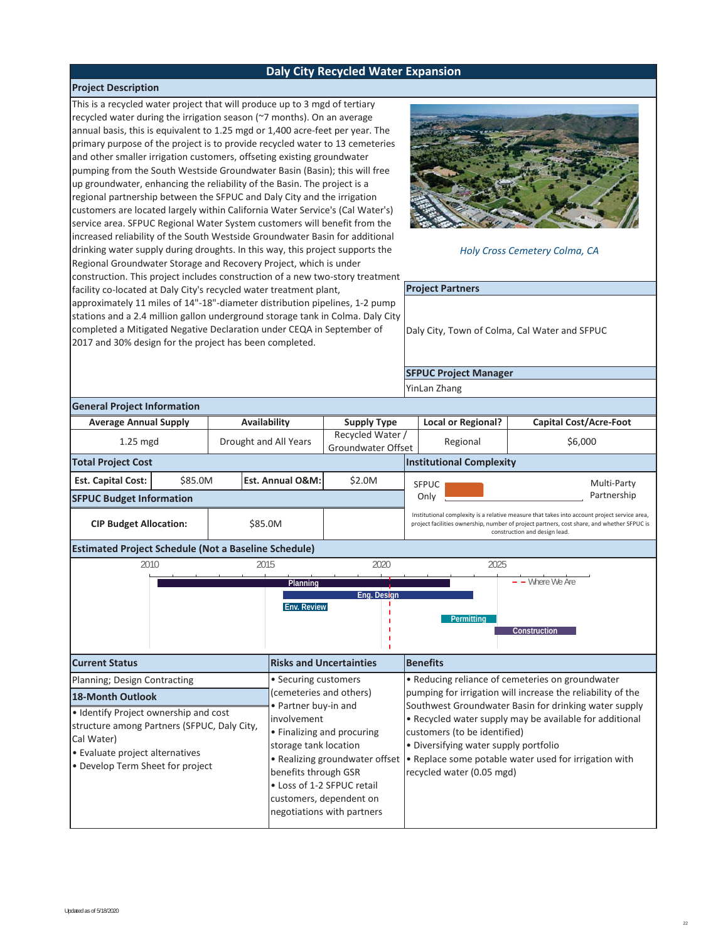# **Daly City Recycled Water Expansion**

#### **Project Description**

This is a recycled water project that will produce up to 3 mgd of tertiary recycled water during the irrigation season (~7 months). On an average annual basis, this is equivalent to 1.25 mgd or 1,400 acre-feet per year. The primary purpose of the project is to provide recycled water to 13 cemeteries and other smaller irrigation customers, offseting existing groundwater pumping from the South Westside Groundwater Basin (Basin); this will free up groundwater, enhancing the reliability of the Basin. The project is a regional partnership between the SFPUC and Daly City and the irrigation customers are located largely within California Water Service's (Cal Water's) service area. SFPUC Regional Water System customers will benefit from the increased reliability of the South Westside Groundwater Basin for additional drinking water supply during droughts. In this way, this project supports the Regional Groundwater Storage and Recovery Project, which is under construction. This project includes construction of a new two-story treatment facility co-located at Daly City's recycled water treatment plant, approximately 11 miles of 14"-18"-diameter distribution pipelines, 1-2 pump stations and a 2.4 million gallon underground storage tank in Colma. Daly City completed a Mitigated Negative Declaration under CEQA in September of 2017 and 30% design for the project has been completed.



*Holy Cross Cemetery Colma, CA*

**Project Partners**

Daly City, Town of Colma, Cal Water and SFPUC

**SFPUC Project Manager**

YinLan Zhang

# **General Project Information**

| General Project Information                                                                                                                                               |                                                             |  |                                                                                      |                                                                                                                                                     |                                                             |                                                                                                    |                                                                                                                                                                                                                             |  |  |  |  |
|---------------------------------------------------------------------------------------------------------------------------------------------------------------------------|-------------------------------------------------------------|--|--------------------------------------------------------------------------------------|-----------------------------------------------------------------------------------------------------------------------------------------------------|-------------------------------------------------------------|----------------------------------------------------------------------------------------------------|-----------------------------------------------------------------------------------------------------------------------------------------------------------------------------------------------------------------------------|--|--|--|--|
| <b>Average Annual Supply</b>                                                                                                                                              |                                                             |  | Availability                                                                         | <b>Supply Type</b>                                                                                                                                  |                                                             | <b>Local or Regional?</b>                                                                          | <b>Capital Cost/Acre-Foot</b>                                                                                                                                                                                               |  |  |  |  |
| $1.25$ mgd                                                                                                                                                                |                                                             |  | Drought and All Years                                                                | Recycled Water /<br>Groundwater Offset                                                                                                              |                                                             | Regional                                                                                           | \$6,000                                                                                                                                                                                                                     |  |  |  |  |
| <b>Total Project Cost</b>                                                                                                                                                 |                                                             |  |                                                                                      |                                                                                                                                                     |                                                             | <b>Institutional Complexity</b>                                                                    |                                                                                                                                                                                                                             |  |  |  |  |
| <b>Est. Capital Cost:</b>                                                                                                                                                 | \$85.0M                                                     |  | Est. Annual O&M:                                                                     | \$2.0M                                                                                                                                              |                                                             | <b>SFPUC</b>                                                                                       | Multi-Party                                                                                                                                                                                                                 |  |  |  |  |
| <b>SFPUC Budget Information</b>                                                                                                                                           |                                                             |  |                                                                                      |                                                                                                                                                     |                                                             | Only                                                                                               | Partnership                                                                                                                                                                                                                 |  |  |  |  |
|                                                                                                                                                                           | <b>CIP Budget Allocation:</b><br>\$85.0M                    |  |                                                                                      |                                                                                                                                                     |                                                             |                                                                                                    | Institutional complexity is a relative measure that takes into account project service area,<br>project facilities ownership, number of project partners, cost share, and whether SFPUC is<br>construction and design lead. |  |  |  |  |
|                                                                                                                                                                           | <b>Estimated Project Schedule (Not a Baseline Schedule)</b> |  |                                                                                      |                                                                                                                                                     |                                                             |                                                                                                    |                                                                                                                                                                                                                             |  |  |  |  |
| 2010                                                                                                                                                                      |                                                             |  | 2015                                                                                 | 2020                                                                                                                                                |                                                             | 2025                                                                                               |                                                                                                                                                                                                                             |  |  |  |  |
|                                                                                                                                                                           |                                                             |  | <b>Env. Review</b>                                                                   | Eng. Design                                                                                                                                         |                                                             | Permittina                                                                                         | Construction                                                                                                                                                                                                                |  |  |  |  |
| <b>Current Status</b>                                                                                                                                                     |                                                             |  |                                                                                      | <b>Risks and Uncertainties</b>                                                                                                                      |                                                             | <b>Benefits</b>                                                                                    |                                                                                                                                                                                                                             |  |  |  |  |
| Planning; Design Contracting                                                                                                                                              |                                                             |  | • Securing customers                                                                 |                                                                                                                                                     | • Reducing reliance of cemeteries on groundwater            |                                                                                                    |                                                                                                                                                                                                                             |  |  |  |  |
| 18-Month Outlook                                                                                                                                                          |                                                             |  | (cemeteries and others)                                                              |                                                                                                                                                     | pumping for irrigation will increase the reliability of the |                                                                                                    |                                                                                                                                                                                                                             |  |  |  |  |
| • Identify Project ownership and cost<br>structure among Partners (SFPUC, Daly City,<br>Cal Water)<br>• Evaluate project alternatives<br>• Develop Term Sheet for project |                                                             |  | • Partner buy-in and<br>involvement<br>storage tank location<br>benefits through GSR | • Finalizing and procuring<br>· Realizing groundwater offset<br>• Loss of 1-2 SFPUC retail<br>customers, dependent on<br>negotiations with partners |                                                             | customers (to be identified)<br>• Diversifying water supply portfolio<br>recycled water (0.05 mgd) | Southwest Groundwater Basin for drinking water supply<br>• Recycled water supply may be available for additional<br>• Replace some potable water used for irrigation with                                                   |  |  |  |  |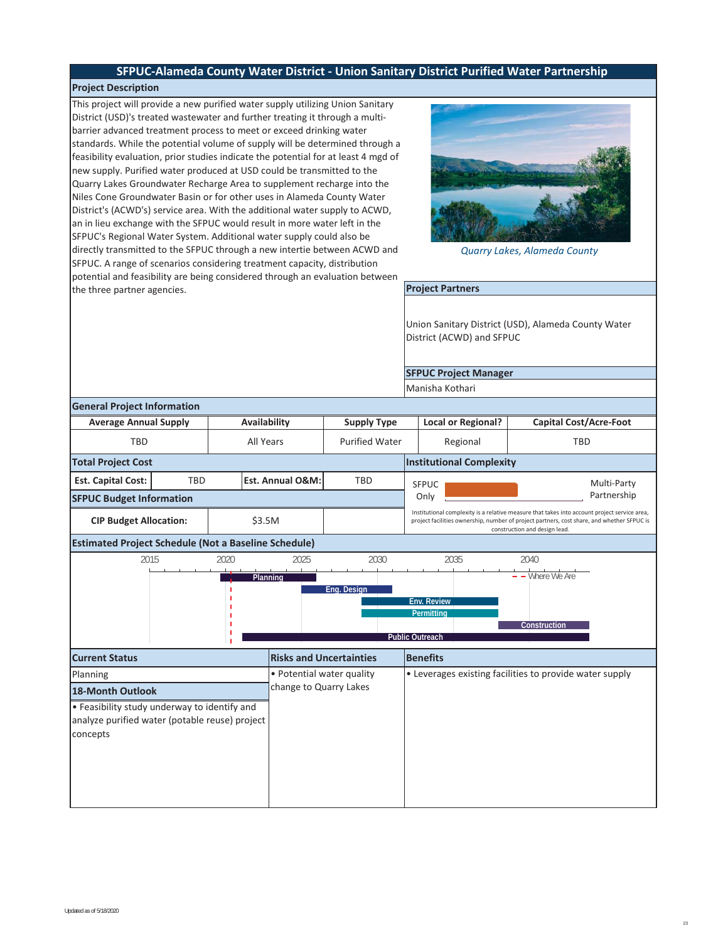# **SFPUC-Alameda County Water District - Union Sanitary District Purified Water Partnership**

#### **Project Description**

This project will provide a new purified water supply utilizing Union Sanitary District (USD)'s treated wastewater and further treating it through a multibarrier advanced treatment process to meet or exceed drinking water standards. While the potential volume of supply will be determined through a feasibility evaluation, prior studies indicate the potential for at least 4 mgd of new supply. Purified water produced at USD could be transmitted to the Quarry Lakes Groundwater Recharge Area to supplement recharge into the Niles Cone Groundwater Basin or for other uses in Alameda County Water District's (ACWD's) service area. With the additional water supply to ACWD, an in lieu exchange with the SFPUC would result in more water left in the SFPUC's Regional Water System. Additional water supply could also be directly transmitted to the SFPUC through a new intertie between ACWD and SFPUC. A range of scenarios considering treatment capacity, distribution potential and feasibility are being considered through an evaluation between the three partner agencies. **Project Partners**



*Quarry Lakes, Alameda County*

Union Sanitary District (USD), Alameda County Water District (ACWD) and SFPUC

**SFPUC Project Manager** Manisha Kothari

#### **Total Project Cost SFPUC Budget Information Institutional Complexity Est. Capital Cost:** TBD **Est. Annual O&M:** TBD **General Project Information Average Annual Supply Availability Supply Type Local or Regional? Capital Cost/Acre-Foot Estimated Project Schedule (Not a Baseline Schedule) Benefits CIP Budget Allocation: Current Status** \$3.5M Institutional complexity is a relative measure that takes into account project service area, project facilities ownership, number of project partners, cost share, and whether SFPUC is construction and design lead. TBD All Years Purified Water Regional TBD • Feasibility study underway to identify and analyze purified water (potable reuse) project concepts **18-Month Outlook Risks and Uncertainties** • Potential water quality change to Quarry Lakes Planning examples the vector of the botanial water quality  $\bullet$  Leverages existing facilities to provide water supply **Planning Eng. Design Env. Review Permitting Construction Public Outreach** 2015 2020 2025 2030 2035 2040 - - Where We Are SFPUC Only Multi-Party Partnership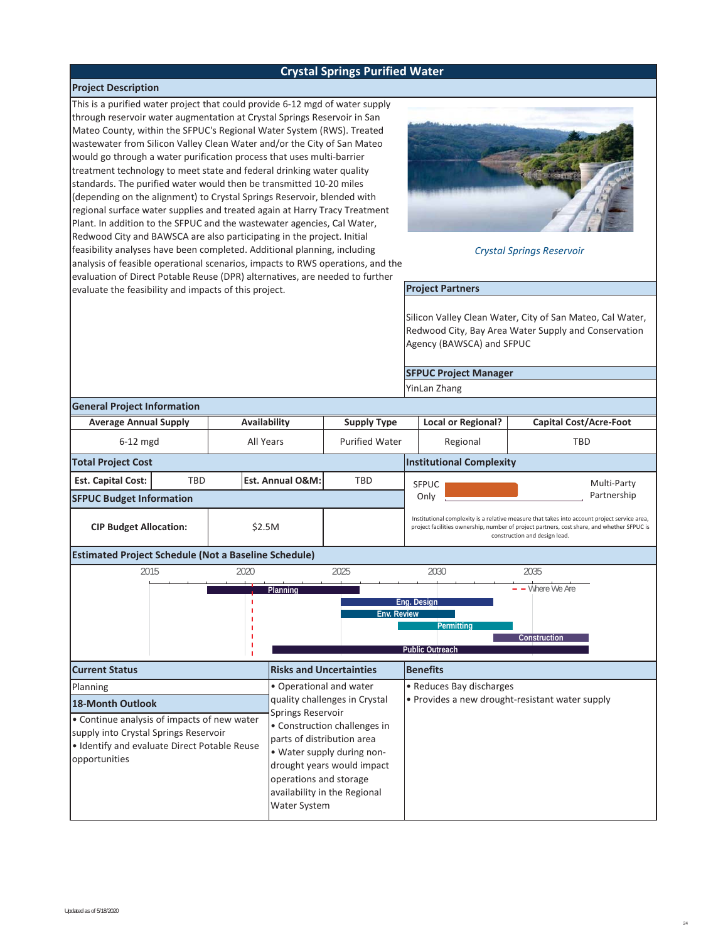# **Crystal Springs Purified Water**

#### **Project Description**

This is a purified water project that could provide 6-12 mgd of water supply through reservoir water augmentation at Crystal Springs Reservoir in San Mateo County, within the SFPUC's Regional Water System (RWS). Treated wastewater from Silicon Valley Clean Water and/or the City of San Mateo would go through a water purification process that uses multi-barrier treatment technology to meet state and federal drinking water quality standards. The purified water would then be transmitted 10-20 miles (depending on the alignment) to Crystal Springs Reservoir, blended with regional surface water supplies and treated again at Harry Tracy Treatment Plant. In addition to the SFPUC and the wastewater agencies, Cal Water, Redwood City and BAWSCA are also participating in the project. Initial feasibility analyses have been completed. Additional planning, including analysis of feasible operational scenarios, impacts to RWS operations, and the evaluation of Direct Potable Reuse (DPR) alternatives, are needed to further evaluate the feasibility and impacts of this project. **Project Partners**



#### *Crystal Springs Reservoir*

Silicon Valley Clean Water, City of San Mateo, Cal Water, Redwood City, Bay Area Water Supply and Conservation Agency (BAWSCA) and SFPUC

**SFPUC Project Manager**

YinLan Zhang

| General Project Information                                                                                                                           |            |                  |                                                                                                                                                                                                                       |                                |                                                 |                                                                                                                                                                                            |                               |                               |
|-------------------------------------------------------------------------------------------------------------------------------------------------------|------------|------------------|-----------------------------------------------------------------------------------------------------------------------------------------------------------------------------------------------------------------------|--------------------------------|-------------------------------------------------|--------------------------------------------------------------------------------------------------------------------------------------------------------------------------------------------|-------------------------------|-------------------------------|
| <b>Average Annual Supply</b>                                                                                                                          |            | Availability     |                                                                                                                                                                                                                       | <b>Supply Type</b>             |                                                 | <b>Local or Regional?</b>                                                                                                                                                                  |                               | <b>Capital Cost/Acre-Foot</b> |
| $6-12$ mgd                                                                                                                                            |            | <b>All Years</b> |                                                                                                                                                                                                                       | <b>Purified Water</b>          |                                                 | Regional                                                                                                                                                                                   |                               | TBD                           |
| <b>Total Project Cost</b>                                                                                                                             |            |                  |                                                                                                                                                                                                                       |                                |                                                 | <b>Institutional Complexity</b>                                                                                                                                                            |                               |                               |
| <b>Est. Capital Cost:</b>                                                                                                                             | <b>TBD</b> |                  | Est. Annual O&M:                                                                                                                                                                                                      | <b>TBD</b>                     |                                                 | <b>SFPUC</b>                                                                                                                                                                               |                               | Multi-Party                   |
| <b>SFPUC Budget Information</b>                                                                                                                       |            |                  |                                                                                                                                                                                                                       |                                |                                                 | Only                                                                                                                                                                                       |                               | Partnership                   |
| <b>CIP Budget Allocation:</b>                                                                                                                         |            | \$2.5M           |                                                                                                                                                                                                                       |                                |                                                 | Institutional complexity is a relative measure that takes into account project service area,<br>project facilities ownership, number of project partners, cost share, and whether SFPUC is | construction and design lead. |                               |
| <b>Estimated Project Schedule (Not a Baseline Schedule)</b>                                                                                           |            |                  |                                                                                                                                                                                                                       |                                |                                                 |                                                                                                                                                                                            |                               |                               |
| 2015                                                                                                                                                  |            | 2020             |                                                                                                                                                                                                                       | 2025                           |                                                 | 2030                                                                                                                                                                                       | 2035                          |                               |
|                                                                                                                                                       |            |                  |                                                                                                                                                                                                                       | <b>Env. Review</b>             |                                                 | <b>Permitting</b><br><b>Public Outreach</b>                                                                                                                                                | Construction                  |                               |
| <b>Current Status</b>                                                                                                                                 |            |                  |                                                                                                                                                                                                                       | <b>Risks and Uncertainties</b> |                                                 | <b>Benefits</b>                                                                                                                                                                            |                               |                               |
| Planning                                                                                                                                              |            |                  | • Operational and water                                                                                                                                                                                               |                                |                                                 | • Reduces Bay discharges                                                                                                                                                                   |                               |                               |
| 18-Month Outlook                                                                                                                                      |            |                  |                                                                                                                                                                                                                       | quality challenges in Crystal  | • Provides a new drought-resistant water supply |                                                                                                                                                                                            |                               |                               |
| • Continue analysis of impacts of new water<br>supply into Crystal Springs Reservoir<br>• Identify and evaluate Direct Potable Reuse<br>opportunities |            |                  | Springs Reservoir<br>• Construction challenges in<br>parts of distribution area<br>• Water supply during non-<br>drought years would impact<br>operations and storage<br>availability in the Regional<br>Water System |                                |                                                 |                                                                                                                                                                                            |                               |                               |

#### **General Project Information**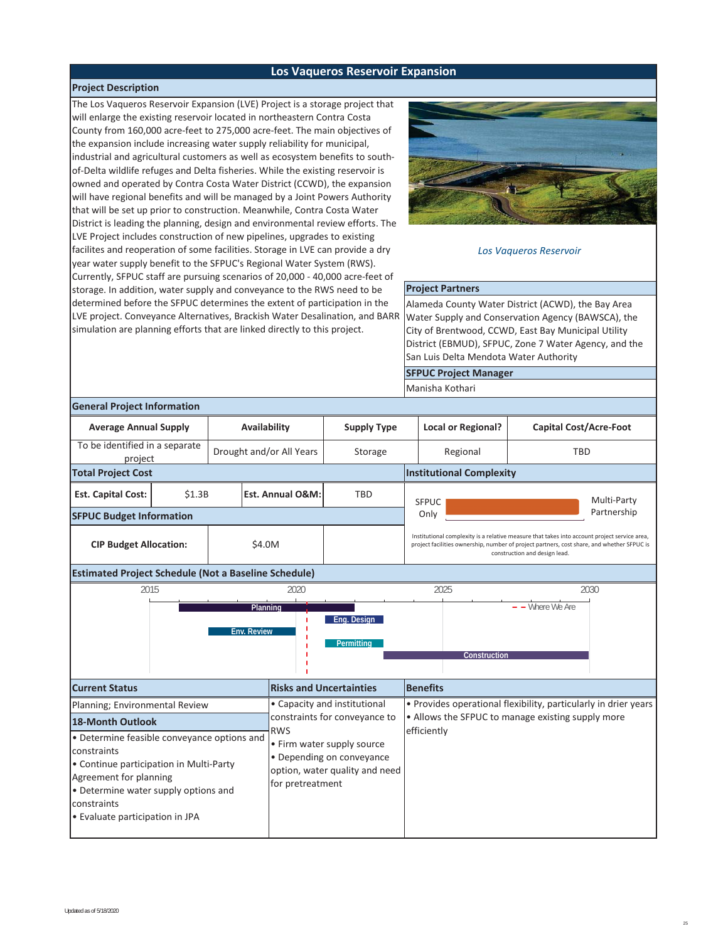#### **Los Vaqueros Reservoir Expansion**

#### **Project Description**

The Los Vaqueros Reservoir Expansion (LVE) Project is a storage project that will enlarge the existing reservoir located in northeastern Contra Costa County from 160,000 acre-feet to 275,000 acre-feet. The main objectives of the expansion include increasing water supply reliability for municipal, industrial and agricultural customers as well as ecosystem benefits to southof-Delta wildlife refuges and Delta fisheries. While the existing reservoir is owned and operated by Contra Costa Water District (CCWD), the expansion will have regional benefits and will be managed by a Joint Powers Authority that will be set up prior to construction. Meanwhile, Contra Costa Water District is leading the planning, design and environmental review efforts. The LVE Project includes construction of new pipelines, upgrades to existing facilites and reoperation of some facilities. Storage in LVE can provide a dry year water supply benefit to the SFPUC's Regional Water System (RWS). Currently, SFPUC staff are pursuing scenarios of 20,000 - 40,000 acre-feet of storage. In addition, water supply and conveyance to the RWS need to be determined before the SFPUC determines the extent of participation in the LVE project. Conveyance Alternatives, Brackish Water Desalination, and BARR simulation are planning efforts that are linked directly to this project.



#### *Los Vaqueros Reservoir*

#### **Project Partners**

Alameda County Water District (ACWD), the Bay Area Water Supply and Conservation Agency (BAWSCA), the City of Brentwood, CCWD, East Bay Municipal Utility District (EBMUD), SFPUC, Zone 7 Water Agency, and the San Luis Delta Mendota Water Authority

**SFPUC Project Manager**

Manisha Kothari

#### **Total Project Cost SFPUC Budget Information Institutional Complexity Est. Capital Cost:**  $\begin{vmatrix} 51.3B & \mathbf{Est} \end{vmatrix}$ **Est. Annual O&M:** TBD **General Project Information Average Annual Supply** Availability **Supply Type | Local or Regional?** | Capital Cost/Acre-Foot **Estimated Project Schedule (Not a Baseline Schedule) Benefits CIP Budget Allocation: Current Status** \$4.0M Institutional complexity is a relative measure that takes into account project service area, project facilities ownership, number of project partners, cost share, and whether SFPUC is construction and design lead. To be identified in a separate project and a separate Drought and/or All Years Storage Regional Regional TBD • Determine feasible conveyance options and constraints • Continue participation in Multi-Party Agreement for planning • Determine water supply options and constraints • Evaluate participation in JPA **18-Month Outlook Risks and Uncertainties** • Capacity and institutional constraints for conveyance to RWS • Firm water supply source • Depending on conveyance option, water quality and need for pretreatment • Provides operational flexibility, particularly in drier years • Allows the SFPUC to manage existing supply more efficiently Planning; Environmental Review **Planning Eng. Design Env. Review Permitting Construction** 2015 2020 2025 2030  $-$  Where We Are SFPUC Only Multi-Party Partnership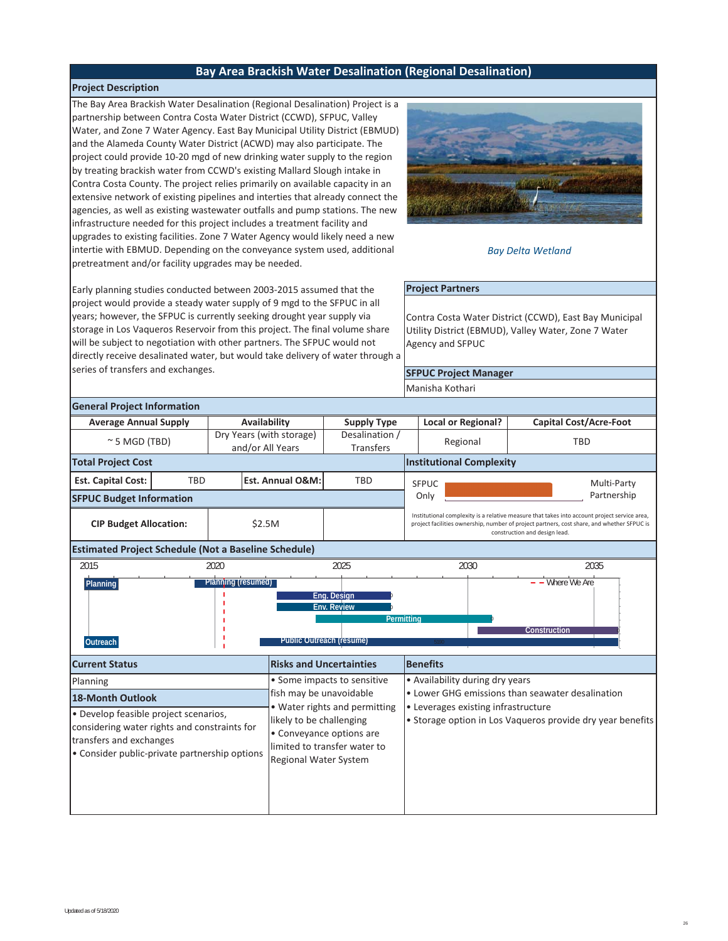### **Bay Area Brackish Water Desalination (Regional Desalination)**

#### **Project Description**

The Bay Area Brackish Water Desalination (Regional Desalination) Project is a partnership between Contra Costa Water District (CCWD), SFPUC, Valley Water, and Zone 7 Water Agency. East Bay Municipal Utility District (EBMUD) and the Alameda County Water District (ACWD) may also participate. The project could provide 10-20 mgd of new drinking water supply to the region by treating brackish water from CCWD's existing Mallard Slough intake in Contra Costa County. The project relies primarily on available capacity in an extensive network of existing pipelines and interties that already connect the agencies, as well as existing wastewater outfalls and pump stations. The new infrastructure needed for this project includes a treatment facility and upgrades to existing facilities. Zone 7 Water Agency would likely need a new intertie with EBMUD. Depending on the conveyance system used, additional pretreatment and/or facility upgrades may be needed.



#### *Bay Delta Wetland*

# **Project Partners**

Contra Costa Water District (CCWD), East Bay Municipal Utility District (EBMUD), Valley Water, Zone 7 Water Agency and SFPUC

**SFPUC Project Manager** Manisha Kothari

years; however, the SFPUC is currently seeking drought year supply via storage in Los Vaqueros Reservoir from this project. The final volume share will be subject to negotiation with other partners. The SFPUC would not directly receive desalinated water, but would take delivery of water through a series of transfers and exchanges.

Early planning studies conducted between 2003-2015 assumed that the project would provide a steady water supply of 9 mgd to the SFPUC in all

#### **Total Project Cost SFPUC Budget Information Institutional Complexity Est. Capital Cost:** TBD **Est. Annual O&M:** TBD **General Project Information Average Annual Supply Availability Supply Type Local or Regional? Capital Cost/Acre-Foot Estimated Project Schedule (Not a Baseline Schedule) Benefits CIP Budget Allocation: Current Status** \$2.5M Institutional complexity is a relative measure that takes into account project service area, project facilities ownership, number of project partners, cost share, and whether SFPUC is construction and design lead.  $\sim$  5 MGD (TBD) Dry Years (with storage) and/or All Years Desalination / Sammanon, Regional TBD<br>Transfers Regional TBD • Develop feasible project scenarios, considering water rights and constraints for transfers and exchanges • Consider public-private partnership options **18-Month Outlook Risks and Uncertainties** • Some impacts to sensitive fish may be unavoidable • Water rights and permitting likely to be challenging • Conveyance options are limited to transfer water to Regional Water System • Availability during dry years • Lower GHG emissions than seawater desalination • Leverages existing infrastructure • Storage option in Los Vaqueros provide dry year benefits Planning **Planning Eng. Design Env. Review Permitting Construction Outreach Planning (resumed)** and the set of the set of the set of the set of the set of the set of the set of the set of the set of the set of the set of the set of the set of the set of the set of the set of the set of the set of 0 0 0 2015 2020 2025 2030 2035 **Public Outreach (resume)** SFPUC **Only** Multi-Party Partnership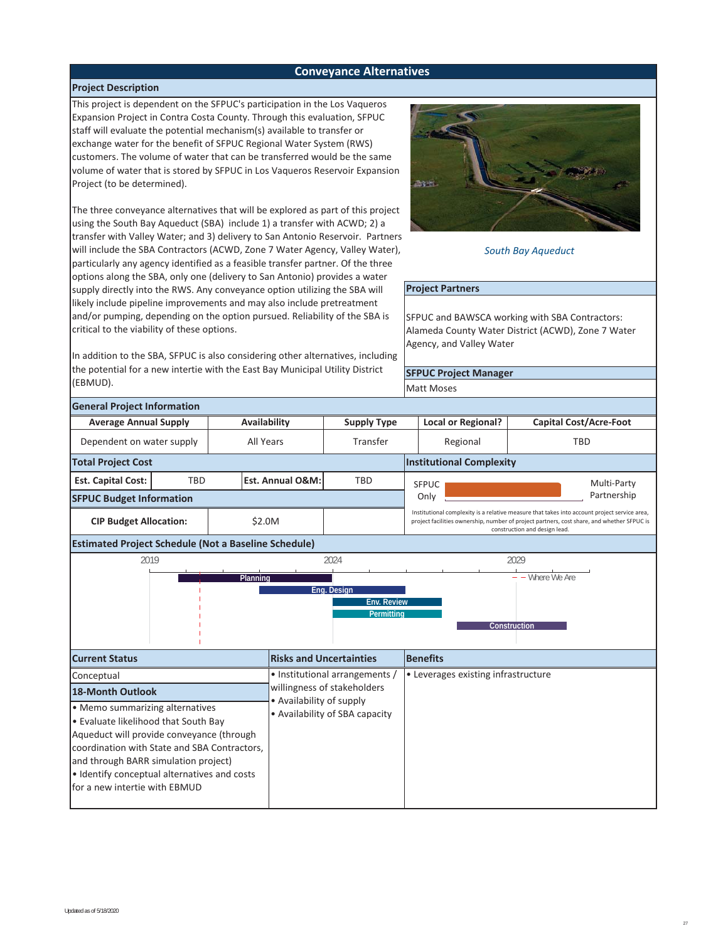# **Conveyance Alternatives**

#### **Project Description**

This project is dependent on the SFPUC's participation in the Los Vaqueros Expansion Project in Contra Costa County. Through this evaluation, SFPUC staff will evaluate the potential mechanism(s) available to transfer or exchange water for the benefit of SFPUC Regional Water System (RWS) customers. The volume of water that can be transferred would be the same volume of water that is stored by SFPUC in Los Vaqueros Reservoir Expansion Project (to be determined).

The three conveyance alternatives that will be explored as part of this project using the South Bay Aqueduct (SBA) include 1) a transfer with ACWD; 2) a transfer with Valley Water; and 3) delivery to San Antonio Reservoir. Partners will include the SBA Contractors (ACWD, Zone 7 Water Agency, Valley Water), particularly any agency identified as a feasible transfer partner. Of the three options along the SBA, only one (delivery to San Antonio) provides a water supply directly into the RWS. Any conveyance option utilizing the SBA will likely include pipeline improvements and may also include pretreatment and/or pumping, depending on the option pursued. Reliability of the SBA is critical to the viability of these options.

In addition to the SBA, SFPUC is also considering other alternatives, including the potential for a new intertie with the East Bay Municipal Utility District (EBMUD).



*South Bay Aqueduct*

#### **Project Partners**

SFPUC and BAWSCA working with SBA Contractors: Alameda County Water District (ACWD), Zone 7 Water Agency, and Valley Water

**SFPUC Project Manager** Matt Moses

| <b>General Project Information</b>                                                                                                                                                                                                                                                                                |            |              |                                                                                           |                                |                                     |                                                                                                                                                                                            |                               |                               |  |
|-------------------------------------------------------------------------------------------------------------------------------------------------------------------------------------------------------------------------------------------------------------------------------------------------------------------|------------|--------------|-------------------------------------------------------------------------------------------|--------------------------------|-------------------------------------|--------------------------------------------------------------------------------------------------------------------------------------------------------------------------------------------|-------------------------------|-------------------------------|--|
| <b>Average Annual Supply</b>                                                                                                                                                                                                                                                                                      |            | Availability |                                                                                           | <b>Supply Type</b>             |                                     | <b>Local or Regional?</b>                                                                                                                                                                  |                               | <b>Capital Cost/Acre-Foot</b> |  |
| Dependent on water supply                                                                                                                                                                                                                                                                                         |            | All Years    |                                                                                           | Transfer                       |                                     | Regional                                                                                                                                                                                   |                               | <b>TBD</b>                    |  |
| <b>Total Project Cost</b>                                                                                                                                                                                                                                                                                         |            |              |                                                                                           |                                |                                     | <b>Institutional Complexity</b>                                                                                                                                                            |                               |                               |  |
| <b>Est. Capital Cost:</b>                                                                                                                                                                                                                                                                                         | <b>TBD</b> |              | Est. Annual O&M:                                                                          | <b>TBD</b>                     | <b>SFPUC</b>                        |                                                                                                                                                                                            |                               | Multi-Party                   |  |
| <b>SFPUC Budget Information</b>                                                                                                                                                                                                                                                                                   |            |              |                                                                                           |                                | Only                                |                                                                                                                                                                                            |                               | Partnership                   |  |
| <b>CIP Budget Allocation:</b><br>\$2.0M                                                                                                                                                                                                                                                                           |            |              |                                                                                           |                                |                                     | Institutional complexity is a relative measure that takes into account project service area,<br>project facilities ownership, number of project partners, cost share, and whether SFPUC is | construction and design lead. |                               |  |
| <b>Estimated Project Schedule (Not a Baseline Schedule)</b>                                                                                                                                                                                                                                                       |            |              |                                                                                           |                                |                                     |                                                                                                                                                                                            |                               |                               |  |
| 2019<br>2024<br>2029<br>$ -Where$ We Are<br>Planning<br>Eng. Design<br><b>Env. Review</b><br>Permittina<br>Construction                                                                                                                                                                                           |            |              |                                                                                           |                                |                                     |                                                                                                                                                                                            |                               |                               |  |
| <b>Current Status</b>                                                                                                                                                                                                                                                                                             |            |              |                                                                                           | <b>Risks and Uncertainties</b> | <b>Benefits</b>                     |                                                                                                                                                                                            |                               |                               |  |
| Conceptual                                                                                                                                                                                                                                                                                                        |            |              |                                                                                           | • Institutional arrangements / | • Leverages existing infrastructure |                                                                                                                                                                                            |                               |                               |  |
| 18-Month Outlook<br>• Memo summarizing alternatives<br>• Evaluate likelihood that South Bay<br>Aqueduct will provide conveyance (through<br>coordination with State and SBA Contractors.<br>and through BARR simulation project)<br>· Identify conceptual alternatives and costs<br>for a new intertie with EBMUD |            |              | willingness of stakeholders<br>• Availability of supply<br>• Availability of SBA capacity |                                |                                     |                                                                                                                                                                                            |                               |                               |  |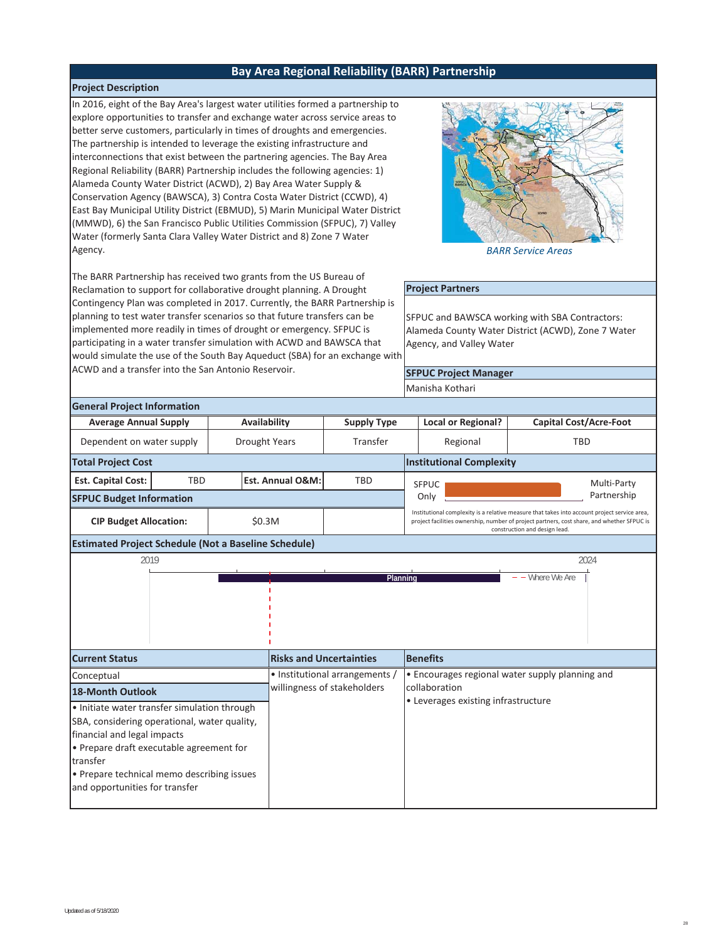### **Bay Area Regional Reliability (BARR) Partnership**

#### **Project Description**

In 2016, eight of the Bay Area's largest water utilities formed a partnership to explore opportunities to transfer and exchange water across service areas to better serve customers, particularly in times of droughts and emergencies. The partnership is intended to leverage the existing infrastructure and interconnections that exist between the partnering agencies. The Bay Area Regional Reliability (BARR) Partnership includes the following agencies: 1) Alameda County Water District (ACWD), 2) Bay Area Water Supply & Conservation Agency (BAWSCA), 3) Contra Costa Water District (CCWD), 4) East Bay Municipal Utility District (EBMUD), 5) Marin Municipal Water District (MMWD), 6) the San Francisco Public Utilities Commission (SFPUC), 7) Valley Water (formerly Santa Clara Valley Water District and 8) Zone 7 Water Agency.

The BARR Partnership has received two grants from the US Bureau of Reclamation to support for collaborative drought planning. A Drought Contingency Plan was completed in 2017. Currently, the BARR Partnership is planning to test water transfer scenarios so that future transfers can be implemented more readily in times of drought or emergency. SFPUC is participating in a water transfer simulation with ACWD and BAWSCA that would simulate the use of the South Bay Aqueduct (SBA) for an exchange with ACWD and a transfer into the San Antonio Reservoir.



*BARR Service Areas*

#### **Project Partners**

SFPUC and BAWSCA working with SBA Contractors: Alameda County Water District (ACWD), Zone 7 Water Agency, and Valley Water

**SFPUC Project Manager** Manisha Kothari

| <b>General Project Information</b>                                                                                                                                                                                                                                                      |            |                      |                                |                                                               |                                                                                                                                                                                            |                                                                                                         |                  |                               |  |  |
|-----------------------------------------------------------------------------------------------------------------------------------------------------------------------------------------------------------------------------------------------------------------------------------------|------------|----------------------|--------------------------------|---------------------------------------------------------------|--------------------------------------------------------------------------------------------------------------------------------------------------------------------------------------------|---------------------------------------------------------------------------------------------------------|------------------|-------------------------------|--|--|
| <b>Average Annual Supply</b>                                                                                                                                                                                                                                                            |            | Availability         |                                | <b>Supply Type</b>                                            |                                                                                                                                                                                            | <b>Local or Regional?</b>                                                                               |                  | <b>Capital Cost/Acre-Foot</b> |  |  |
| Dependent on water supply                                                                                                                                                                                                                                                               |            | <b>Drought Years</b> |                                | Transfer                                                      |                                                                                                                                                                                            | Regional                                                                                                |                  | <b>TBD</b>                    |  |  |
| <b>Total Project Cost</b>                                                                                                                                                                                                                                                               |            |                      |                                |                                                               | <b>Institutional Complexity</b>                                                                                                                                                            |                                                                                                         |                  |                               |  |  |
| <b>Est. Capital Cost:</b>                                                                                                                                                                                                                                                               | <b>TBD</b> |                      | Est. Annual O&M:               | TBD                                                           | <b>SFPUC</b>                                                                                                                                                                               |                                                                                                         |                  | Multi-Party                   |  |  |
| <b>SFPUC Budget Information</b>                                                                                                                                                                                                                                                         |            |                      |                                |                                                               | Only                                                                                                                                                                                       |                                                                                                         |                  | Partnership                   |  |  |
| <b>CIP Budget Allocation:</b>                                                                                                                                                                                                                                                           |            | \$0.3M               |                                |                                                               | Institutional complexity is a relative measure that takes into account project service area,<br>project facilities ownership, number of project partners, cost share, and whether SFPUC is |                                                                                                         |                  |                               |  |  |
| <b>Estimated Project Schedule (Not a Baseline Schedule)</b>                                                                                                                                                                                                                             |            |                      |                                |                                                               |                                                                                                                                                                                            |                                                                                                         |                  |                               |  |  |
| 2019                                                                                                                                                                                                                                                                                    |            |                      |                                | Planning                                                      |                                                                                                                                                                                            |                                                                                                         | $-$ Where We Are | 2024                          |  |  |
| <b>Current Status</b>                                                                                                                                                                                                                                                                   |            |                      | <b>Risks and Uncertainties</b> |                                                               | <b>Benefits</b>                                                                                                                                                                            |                                                                                                         |                  |                               |  |  |
| Conceptual                                                                                                                                                                                                                                                                              |            |                      |                                | • Institutional arrangements /<br>willingness of stakeholders |                                                                                                                                                                                            | • Encourages regional water supply planning and<br>collaboration<br>• Leverages existing infrastructure |                  |                               |  |  |
| 18-Month Outlook<br>• Initiate water transfer simulation through<br>SBA, considering operational, water quality,<br>financial and legal impacts<br>• Prepare draft executable agreement for<br>transfer<br>• Prepare technical memo describing issues<br>and opportunities for transfer |            |                      |                                |                                                               |                                                                                                                                                                                            |                                                                                                         |                  |                               |  |  |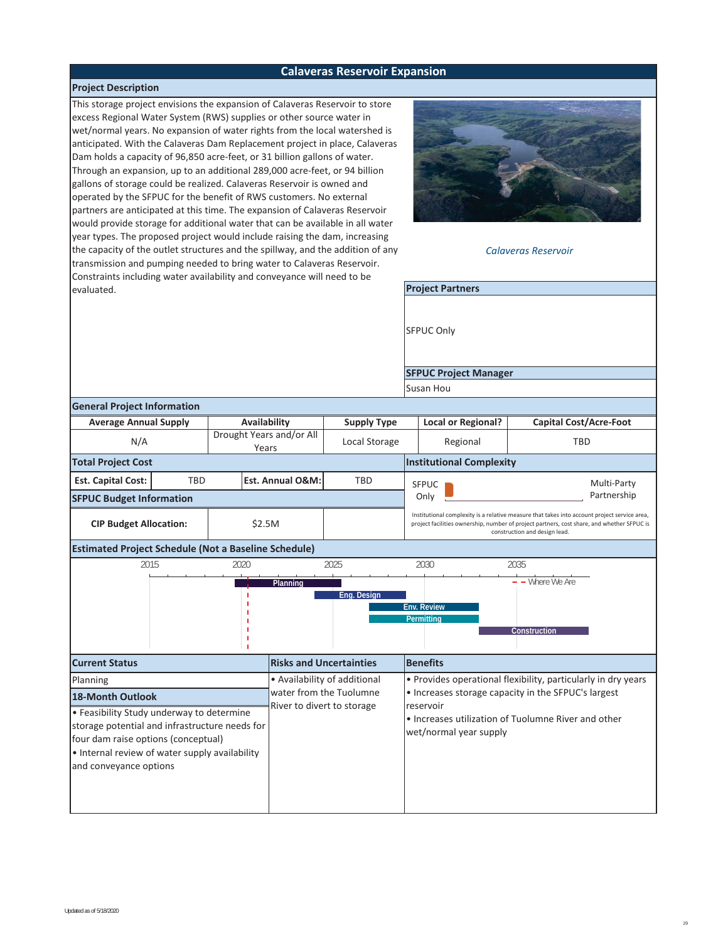#### **Calaveras Reservoir Expansion**

#### **Project Description**

This storage project envisions the expansion of Calaveras Reservoir to store excess Regional Water System (RWS) supplies or other source water in wet/normal years. No expansion of water rights from the local watershed is anticipated. With the Calaveras Dam Replacement project in place, Calaveras Dam holds a capacity of 96,850 acre-feet, or 31 billion gallons of water. Through an expansion, up to an additional 289,000 acre-feet, or 94 billion gallons of storage could be realized. Calaveras Reservoir is owned and operated by the SFPUC for the benefit of RWS customers. No external partners are anticipated at this time. The expansion of Calaveras Reservoir would provide storage for additional water that can be available in all water year types. The proposed project would include raising the dam, increasing the capacity of the outlet structures and the spillway, and the addition of any transmission and pumping needed to bring water to Calaveras Reservoir. Constraints including water availability and conveyance will need to be



*Calaveras Reservoir*

**Project Partners** 

SFPUC Only

**SFPUC Project Manager**

Susan Hou

#### **Total Project Cost SFPUC Budget Information Institutional Complexity Est. Capital Cost:** TBD **Est. Annual O&M:** TBD **General Project Information Average Annual Supply Availability Supply Type Local or Regional? Capital Cost/Acre-Foot Estimated Project Schedule (Not a Baseline Schedule) Benefits CIP Budget Allocation: Current Status** \$2.5M Institutional complexity is a relative measure that takes into account project service area, project facilities ownership, number of project partners, cost share, and whether SFPUC is construction and design lead. N/A Drought Years and/or All<br>Years Local Storage Regional Regional TBD • Feasibility Study underway to determine storage potential and infrastructure needs for four dam raise options (conceptual) • Internal review of water supply availability and conveyance options **18-Month Outlook Risks and Uncertainties** • Availability of additional water from the Tuolumne River to divert to storage • Provides operational flexibility, particularly in dry years • Increases storage capacity in the SFPUC's largest reservoir • Increases utilization of Tuolumne River and other wet/normal year supply Planning **Planning Eng. Design Env. Review Permitting Construction** 2015 2020 2025 2030 2035  $\overline{-}$  Where We Are SFPUC Only Multi-Party Partnership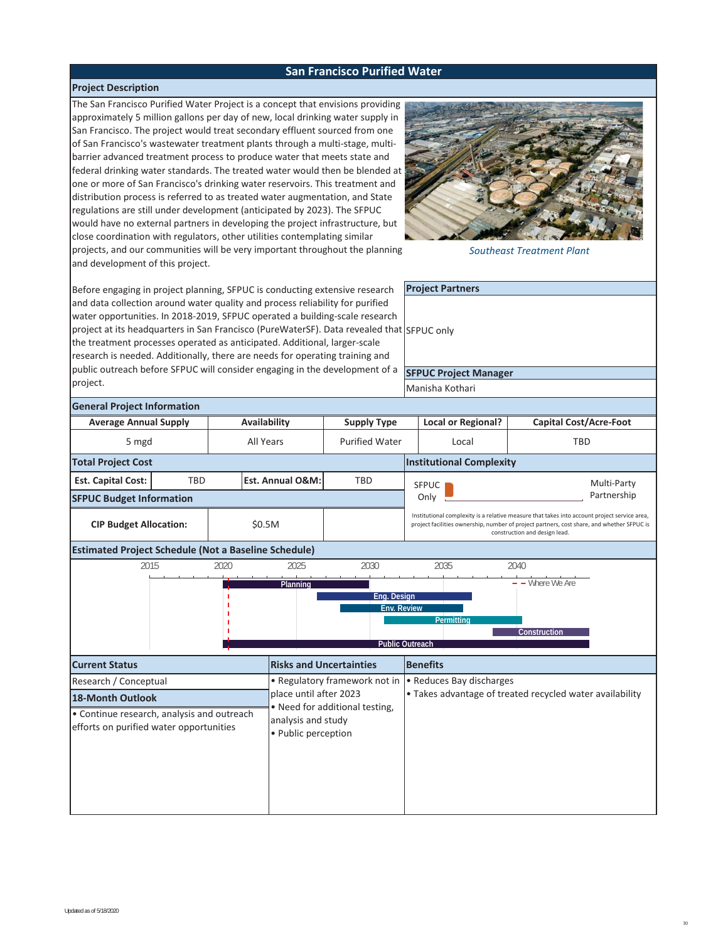#### **San Francisco Purified Water**

#### **Project Description**

The San Francisco Purified Water Project is a concept that envisions providing approximately 5 million gallons per day of new, local drinking water supply in San Francisco. The project would treat secondary effluent sourced from one of San Francisco's wastewater treatment plants through a multi-stage, multibarrier advanced treatment process to produce water that meets state and federal drinking water standards. The treated water would then be blended at one or more of San Francisco's drinking water reservoirs. This treatment and distribution process is referred to as treated water augmentation, and State regulations are still under development (anticipated by 2023). The SFPUC would have no external partners in developing the project infrastructure, but close coordination with regulators, other utilities contemplating similar projects, and our communities will be very important throughout the planning and development of this project.



*Southeast Treatment Plant*

Before engaging in project planning, SFPUC is conducting extensive research and data collection around water quality and process reliability for purified water opportunities. In 2018-2019, SFPUC operated a building-scale research project at its headquarters in San Francisco (PureWaterSF). Data revealed that the treatment processes operated as anticipated. Additional, larger-scale research is needed. Additionally, there are needs for operating training and public outreach before SFPUC will consider engaging in the development of a project.

 $\mathbf{I}$ 

| UC is conducting extensive research                                                                                                                                                                                                                     |                       |                 | <b>Project Partners</b>         |                                                                                                                                                                                            |  |  |  |  |
|---------------------------------------------------------------------------------------------------------------------------------------------------------------------------------------------------------------------------------------------------------|-----------------------|-----------------|---------------------------------|--------------------------------------------------------------------------------------------------------------------------------------------------------------------------------------------|--|--|--|--|
| and process reliability for purified<br>JC operated a building-scale research<br>sco (PureWaterSF). Data revealed that SFPUC only<br>ticipated. Additional, larger-scale<br>re needs for operating training and<br>der engaging in the development of a |                       |                 | <b>SFPUC Project Manager</b>    |                                                                                                                                                                                            |  |  |  |  |
|                                                                                                                                                                                                                                                         |                       |                 |                                 |                                                                                                                                                                                            |  |  |  |  |
|                                                                                                                                                                                                                                                         |                       | Manisha Kothari |                                 |                                                                                                                                                                                            |  |  |  |  |
|                                                                                                                                                                                                                                                         |                       |                 |                                 |                                                                                                                                                                                            |  |  |  |  |
| <b>Availability</b>                                                                                                                                                                                                                                     | <b>Supply Type</b>    |                 | <b>Local or Regional?</b>       | <b>Capital Cost/Acre-Foot</b>                                                                                                                                                              |  |  |  |  |
| All Years                                                                                                                                                                                                                                               | <b>Purified Water</b> |                 | Local                           | TBD                                                                                                                                                                                        |  |  |  |  |
|                                                                                                                                                                                                                                                         |                       |                 | <b>Institutional Complexity</b> |                                                                                                                                                                                            |  |  |  |  |
| <b>Est. Annual O&amp;M:</b>                                                                                                                                                                                                                             | TBD                   |                 | <b>SFPUC</b>                    | Multi-Party                                                                                                                                                                                |  |  |  |  |
|                                                                                                                                                                                                                                                         |                       |                 | Only                            | Partnership                                                                                                                                                                                |  |  |  |  |
| \$0.5M                                                                                                                                                                                                                                                  |                       |                 |                                 | Institutional complexity is a relative measure that takes into account project service area,<br>project facilities ownership, number of project partners, cost share, and whether SFPUC is |  |  |  |  |

#### **General Project Information Average Annual Supply**

|                                                             |     |           |                        | - 17 - 17 - 17                 |                                   |                                                                                                                                                                                                                             |                     |             |  |
|-------------------------------------------------------------|-----|-----------|------------------------|--------------------------------|-----------------------------------|-----------------------------------------------------------------------------------------------------------------------------------------------------------------------------------------------------------------------------|---------------------|-------------|--|
| 5 mgd                                                       |     | All Years |                        | <b>Purified Water</b>          |                                   | Local                                                                                                                                                                                                                       | TBD                 |             |  |
| <b>Total Project Cost</b>                                   |     |           |                        |                                |                                   | <b>Institutional Complexity</b>                                                                                                                                                                                             |                     |             |  |
| <b>Est. Capital Cost:</b>                                   | TBD |           | Est. Annual O&M:       | <b>TBD</b>                     |                                   | <b>SFPUC</b>                                                                                                                                                                                                                |                     | Multi-Party |  |
| <b>SFPUC Budget Information</b>                             |     |           |                        |                                | Only                              |                                                                                                                                                                                                                             |                     | Partnership |  |
| <b>CIP Budget Allocation:</b>                               |     |           | \$0.5M                 |                                |                                   | Institutional complexity is a relative measure that takes into account project service area,<br>project facilities ownership, number of project partners, cost share, and whether SFPUC is<br>construction and design lead. |                     |             |  |
| <b>Estimated Project Schedule (Not a Baseline Schedule)</b> |     |           |                        |                                |                                   |                                                                                                                                                                                                                             |                     |             |  |
| 2015                                                        |     | 2020      | 2025                   | 2030                           |                                   | 2035                                                                                                                                                                                                                        | 2040                |             |  |
|                                                             |     |           | Planning               |                                |                                   |                                                                                                                                                                                                                             | - - Where We Are    |             |  |
|                                                             |     |           |                        |                                | Eng. Design<br><b>Env. Review</b> |                                                                                                                                                                                                                             |                     |             |  |
|                                                             |     |           |                        |                                |                                   | Permitting                                                                                                                                                                                                                  |                     |             |  |
|                                                             |     |           |                        |                                |                                   |                                                                                                                                                                                                                             | <b>Construction</b> |             |  |
|                                                             |     |           |                        |                                | <b>Public Outreach</b>            |                                                                                                                                                                                                                             |                     |             |  |
| <b>Current Status</b>                                       |     |           |                        | <b>Risks and Uncertainties</b> |                                   | <b>Benefits</b>                                                                                                                                                                                                             |                     |             |  |
| Research / Conceptual                                       |     |           |                        | • Regulatory framework not in  | • Reduces Bay discharges          |                                                                                                                                                                                                                             |                     |             |  |
| <b>18-Month Outlook</b>                                     |     |           | place until after 2023 |                                |                                   | • Takes advantage of treated recycled water availability                                                                                                                                                                    |                     |             |  |
| • Continue research, analysis and outreach                  |     |           | analysis and study     | • Need for additional testing, |                                   |                                                                                                                                                                                                                             |                     |             |  |
| efforts on purified water opportunities                     |     |           | • Public perception    |                                |                                   |                                                                                                                                                                                                                             |                     |             |  |
|                                                             |     |           |                        |                                |                                   |                                                                                                                                                                                                                             |                     |             |  |
|                                                             |     |           |                        |                                |                                   |                                                                                                                                                                                                                             |                     |             |  |
|                                                             |     |           |                        |                                |                                   |                                                                                                                                                                                                                             |                     |             |  |
|                                                             |     |           |                        |                                |                                   |                                                                                                                                                                                                                             |                     |             |  |
|                                                             |     |           |                        |                                |                                   |                                                                                                                                                                                                                             |                     |             |  |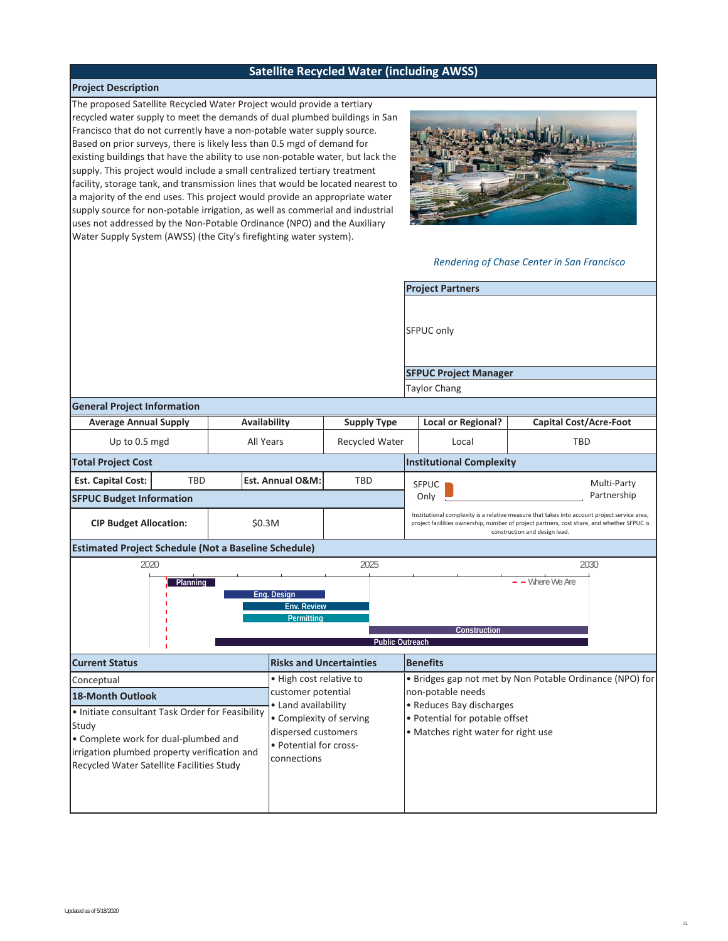# **Satellite Recycled Water (including AWSS)**

#### **Project Description**

The proposed Satellite Recycled Water Project would provide a tertiary recycled water supply to meet the demands of dual plumbed buildings in San Francisco that do not currently have a non-potable water supply source. Based on prior surveys, there is likely less than 0.5 mgd of demand for existing buildings that have the ability to use non-potable water, but lack the supply. This project would include a small centralized tertiary treatment facility, storage tank, and transmission lines that would be located nearest to a majority of the end uses. This project would provide an appropriate water supply source for non-potable irrigation, as well as commerial and industrial uses not addressed by the Non-Potable Ordinance (NPO) and the Auxiliary Water Supply System (AWSS) (the City's firefighting water system).



*Rendering of Chase Center in San Francisco*

| <b>Project Partners</b>      |
|------------------------------|
|                              |
| SFPUC only                   |
|                              |
| <b>SFPUC Project Manager</b> |
|                              |
| <b>Taylor Chang</b>          |



|                                                                                                                                                                                                                                         | Availability<br><b>Average Annual Supply</b> |           |                                                                                                                                                                 | <b>Supply Type</b>                                                                                                                                                                                                          |                        |                                                                                                                                                                                    | <b>Local or Regional?</b>       |  | <b>Capital Cost/Acre-Foot</b> |
|-----------------------------------------------------------------------------------------------------------------------------------------------------------------------------------------------------------------------------------------|----------------------------------------------|-----------|-----------------------------------------------------------------------------------------------------------------------------------------------------------------|-----------------------------------------------------------------------------------------------------------------------------------------------------------------------------------------------------------------------------|------------------------|------------------------------------------------------------------------------------------------------------------------------------------------------------------------------------|---------------------------------|--|-------------------------------|
| Up to 0.5 mgd                                                                                                                                                                                                                           |                                              | All Years |                                                                                                                                                                 | Recycled Water                                                                                                                                                                                                              |                        |                                                                                                                                                                                    | Local                           |  | <b>TBD</b>                    |
| <b>Total Project Cost</b>                                                                                                                                                                                                               |                                              |           |                                                                                                                                                                 |                                                                                                                                                                                                                             |                        |                                                                                                                                                                                    | <b>Institutional Complexity</b> |  |                               |
| <b>Est. Capital Cost:</b>                                                                                                                                                                                                               | <b>TBD</b>                                   |           | Est. Annual O&M:                                                                                                                                                | <b>TBD</b>                                                                                                                                                                                                                  |                        | <b>SFPUC</b>                                                                                                                                                                       |                                 |  | Multi-Party                   |
| <b>SFPUC Budget Information</b>                                                                                                                                                                                                         |                                              |           |                                                                                                                                                                 |                                                                                                                                                                                                                             | Only                   | Partnership                                                                                                                                                                        |                                 |  |                               |
| <b>CIP Budget Allocation:</b>                                                                                                                                                                                                           |                                              | \$0.3M    |                                                                                                                                                                 | Institutional complexity is a relative measure that takes into account project service area,<br>project facilities ownership, number of project partners, cost share, and whether SFPUC is<br>construction and design lead. |                        |                                                                                                                                                                                    |                                 |  |                               |
| <b>Estimated Project Schedule (Not a Baseline Schedule)</b>                                                                                                                                                                             |                                              |           |                                                                                                                                                                 |                                                                                                                                                                                                                             |                        |                                                                                                                                                                                    |                                 |  |                               |
| 2020                                                                                                                                                                                                                                    |                                              |           |                                                                                                                                                                 | 2025                                                                                                                                                                                                                        |                        |                                                                                                                                                                                    |                                 |  | 2030                          |
|                                                                                                                                                                                                                                         |                                              |           | Eng. Design<br><b>Env. Review</b><br>Permittina                                                                                                                 |                                                                                                                                                                                                                             | <b>Public Outreach</b> |                                                                                                                                                                                    | Construction                    |  |                               |
| <b>Current Status</b>                                                                                                                                                                                                                   |                                              |           | <b>Risks and Uncertainties</b>                                                                                                                                  |                                                                                                                                                                                                                             |                        | <b>Benefits</b>                                                                                                                                                                    |                                 |  |                               |
| Conceptual<br><b>18-Month Outlook</b><br>. Initiate consultant Task Order for Feasibility<br>Study<br>• Complete work for dual-plumbed and<br>irrigation plumbed property verification and<br>Recycled Water Satellite Facilities Study |                                              |           | • High cost relative to<br>customer potential<br>• Land availability<br>• Complexity of serving<br>dispersed customers<br>• Potential for cross-<br>connections |                                                                                                                                                                                                                             |                        | . Bridges gap not met by Non Potable Ordinance (NPO) for<br>non-potable needs<br>• Reduces Bay discharges<br>• Potential for potable offset<br>• Matches right water for right use |                                 |  |                               |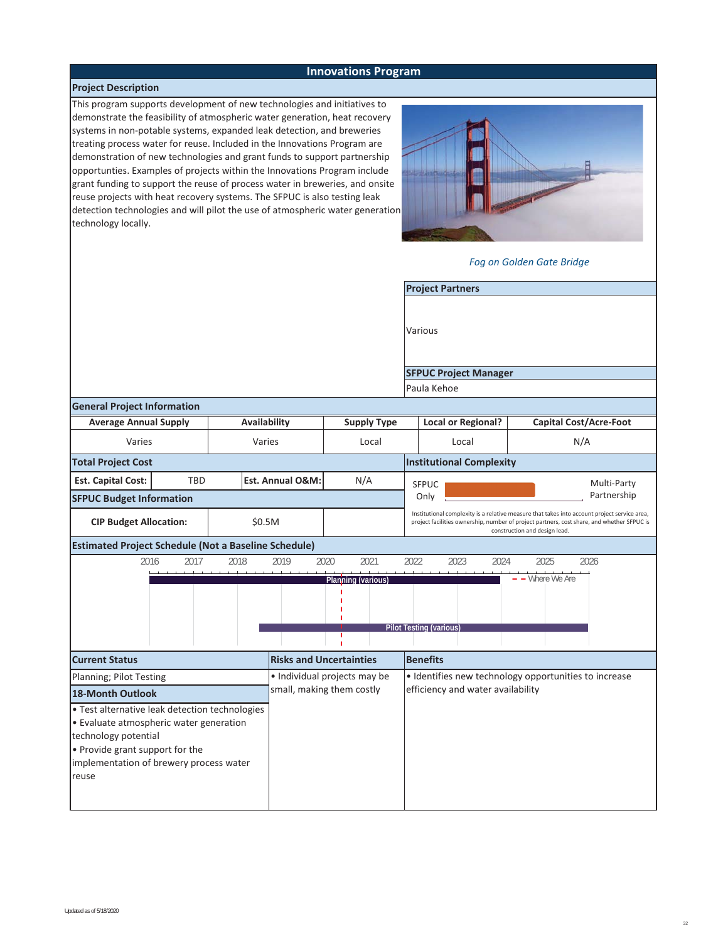# **Innovations Program**

#### **Project Description**

This program supports development of new technologies and initiatives to demonstrate the feasibility of atmospheric water generation, heat recovery systems in non-potable systems, expanded leak detection, and breweries treating process water for reuse. Included in the Innovations Program are demonstration of new technologies and grant funds to support partnership opportunties. Examples of projects within the Innovations Program include grant funding to support the reuse of process water in breweries, and onsite reuse projects with heat recovery systems. The SFPUC is also testing leak detection technologies and will pilot the use of atmospheric water generation technology locally.



*Fog on Golden Gate Bridge*

**Project Partners**

Various

**SFPUC Project Manager**

Paula Kehoe

#### **General Project Information**

| <u>senerar rivječi mnormation</u>                                                                                                                                                                        |                                                             |                                |                                   |                                 |                                                       |                           |      |                                                                                                                                                                                                                             |             |  |  |
|----------------------------------------------------------------------------------------------------------------------------------------------------------------------------------------------------------|-------------------------------------------------------------|--------------------------------|-----------------------------------|---------------------------------|-------------------------------------------------------|---------------------------|------|-----------------------------------------------------------------------------------------------------------------------------------------------------------------------------------------------------------------------------|-------------|--|--|
| <b>Average Annual Supply</b>                                                                                                                                                                             |                                                             | Availability                   |                                   | <b>Supply Type</b>              |                                                       | <b>Local or Regional?</b> |      | <b>Capital Cost/Acre-Foot</b>                                                                                                                                                                                               |             |  |  |
| Varies                                                                                                                                                                                                   |                                                             | Varies                         |                                   | Local                           |                                                       | Local                     |      | N/A                                                                                                                                                                                                                         |             |  |  |
| <b>Total Project Cost</b>                                                                                                                                                                                |                                                             |                                |                                   | <b>Institutional Complexity</b> |                                                       |                           |      |                                                                                                                                                                                                                             |             |  |  |
| <b>Est. Capital Cost:</b>                                                                                                                                                                                | <b>TBD</b>                                                  |                                | Est. Annual O&M:<br>N/A           |                                 | <b>SFPUC</b>                                          |                           |      |                                                                                                                                                                                                                             | Multi-Party |  |  |
| <b>SFPUC Budget Information</b>                                                                                                                                                                          |                                                             |                                |                                   |                                 |                                                       | Only                      |      |                                                                                                                                                                                                                             | Partnership |  |  |
| <b>CIP Budget Allocation:</b>                                                                                                                                                                            |                                                             | \$0.5M                         |                                   |                                 |                                                       |                           |      | Institutional complexity is a relative measure that takes into account project service area,<br>project facilities ownership, number of project partners, cost share, and whether SFPUC is<br>construction and design lead. |             |  |  |
|                                                                                                                                                                                                          | <b>Estimated Project Schedule (Not a Baseline Schedule)</b> |                                |                                   |                                 |                                                       |                           |      |                                                                                                                                                                                                                             |             |  |  |
| 2016                                                                                                                                                                                                     | 2017                                                        | 2018                           | 2019<br>$-1$ , $-1$ , $-1$ , $-1$ | 2020<br>2021                    | 2022                                                  | 2023                      | 2024 | 2025                                                                                                                                                                                                                        | 2026        |  |  |
|                                                                                                                                                                                                          |                                                             |                                |                                   |                                 |                                                       | Pilot Testing (various)   |      |                                                                                                                                                                                                                             |             |  |  |
| <b>Current Status</b>                                                                                                                                                                                    |                                                             | <b>Risks and Uncertainties</b> |                                   |                                 | <b>Benefits</b>                                       |                           |      |                                                                                                                                                                                                                             |             |  |  |
| Planning; Pilot Testing                                                                                                                                                                                  |                                                             | · Individual projects may be   |                                   |                                 | • Identifies new technology opportunities to increase |                           |      |                                                                                                                                                                                                                             |             |  |  |
| 18-Month Outlook                                                                                                                                                                                         |                                                             | small, making them costly      |                                   |                                 | efficiency and water availability                     |                           |      |                                                                                                                                                                                                                             |             |  |  |
| · Test alternative leak detection technologies<br>• Evaluate atmospheric water generation<br>technology potential<br>• Provide grant support for the<br>implementation of brewery process water<br>reuse |                                                             |                                |                                   |                                 |                                                       |                           |      |                                                                                                                                                                                                                             |             |  |  |